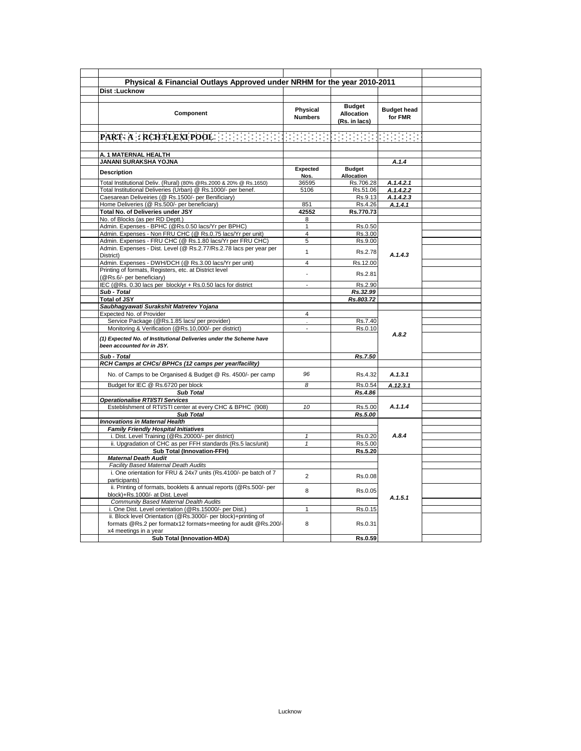| <b>Dist:Lucknow</b>                                                                                                               |                                |                                                     |                               |  |
|-----------------------------------------------------------------------------------------------------------------------------------|--------------------------------|-----------------------------------------------------|-------------------------------|--|
| Component                                                                                                                         | Physical<br><b>Numbers</b>     | <b>Budget</b><br><b>Allocation</b><br>(Rs. in lacs) | <b>Budget head</b><br>for FMR |  |
|                                                                                                                                   |                                |                                                     |                               |  |
|                                                                                                                                   |                                |                                                     |                               |  |
| A. 1 MATERNAL HEALTH                                                                                                              |                                |                                                     |                               |  |
| <b>JANANI SURAKSHA YOJNA</b>                                                                                                      | Expected                       | <b>Budget</b>                                       | A.1.4                         |  |
| <b>Description</b>                                                                                                                | Nos.                           | Allocation                                          |                               |  |
| Total Institutional Deliv. (Rural) (80% @Rs.2000 & 20% @ Rs.1650)                                                                 | 36595                          | Rs.706.28                                           | A.1.4.2.1                     |  |
| Total Institutional Deliveries (Urban) @ Rs.1000/- per benef.                                                                     | 5106                           | Rs.51.06                                            | A.1.4.2.2                     |  |
| Caesarean Deliveiries (@ Rs.1500/- per Benificiary)                                                                               |                                | Rs.9.13                                             | A.1.4.2.3                     |  |
| Home Deliveries (@ Rs.500/- per beneficiary)                                                                                      | 851                            | Rs.4.26                                             | A.1.4.1                       |  |
| Total No. of Deliveries under JSY                                                                                                 | 42552                          | Rs.770.73                                           |                               |  |
| No. of Blocks (as per RD Deptt.)                                                                                                  | 8                              |                                                     |                               |  |
| Admin. Expenses - BPHC (@Rs.0.50 lacs/Yr per BPHC)                                                                                | $\mathbf{1}$<br>$\overline{4}$ | Rs.0.50                                             |                               |  |
| Admin. Expenses - Non FRU CHC (@ Rs.0.75 lacs/Yr per unit)<br>Admin. Expenses - FRU CHC (@ Rs.1.80 lacs/Yr per FRU CHC)           | 5                              | Rs.3.00<br>Rs.9.00                                  |                               |  |
| Admin. Expenses - Dist. Level (@ Rs.2.77/Rs.2.78 lacs per year per                                                                |                                |                                                     |                               |  |
| District)                                                                                                                         | $\mathbf{1}$                   | Rs.2.78                                             | A.1.4.3                       |  |
| Admin. Expenses - DWH/DCH (@ Rs.3.00 lacs/Yr per unit)                                                                            | 4                              | Rs.12.00                                            |                               |  |
| Printing of formats, Registers, etc. at District level<br>(@Rs.6/- per beneficiary)                                               |                                | Rs.2.81                                             |                               |  |
| IEC (@Rs. 0.30 lacs per block/yr + Rs.0.50 lacs for district                                                                      | $\overline{a}$                 | Rs.2.90                                             |                               |  |
| Sub - Total                                                                                                                       |                                | Rs.32.99                                            |                               |  |
| <b>Total of JSY</b>                                                                                                               |                                | Rs.803.72                                           |                               |  |
| Saubhagyawati Surakshit Matretev Yojana                                                                                           |                                |                                                     |                               |  |
| Expected No. of Provider                                                                                                          | $\overline{4}$                 |                                                     |                               |  |
| Service Package (@Rs.1.85 lacs/ per provider)                                                                                     |                                | Rs.7.40                                             |                               |  |
| Monitoring & Verification (@Rs.10,000/- per district)                                                                             | $\overline{a}$                 | Rs.0.10                                             | A.8.2                         |  |
| (1) Expected No. of Institutional Deliveries under the Scheme have<br>been accounted for in JSY.                                  |                                |                                                     |                               |  |
| Sub - Total                                                                                                                       |                                | Rs.7.50                                             |                               |  |
| RCH Camps at CHCs/ BPHCs (12 camps per year/facility)                                                                             |                                |                                                     |                               |  |
| No. of Camps to be Organised & Budget @ Rs. 4500/- per camp                                                                       | 96                             | Rs.4.32                                             | A.1.3.1                       |  |
| Budget for IEC @ Rs.6720 per block                                                                                                | 8                              | Rs.0.54                                             | A.12.3.1                      |  |
| <b>Sub Total</b>                                                                                                                  |                                | Rs.4.86                                             |                               |  |
| Operationalise RTI/STI Services                                                                                                   |                                |                                                     |                               |  |
| Esteblishment of RTI/STI center at every CHC & BPHC (908)                                                                         | 10                             | Rs.5.00                                             | A.1.1.4                       |  |
| <b>Sub Total</b>                                                                                                                  |                                | Rs.5.00                                             |                               |  |
| <b>Innovations in Maternal Health</b><br><b>Family Friendly Hospital Initiatives</b>                                              |                                |                                                     |                               |  |
| i. Dist. Level Training (@Rs.20000/- per district)                                                                                | $\mathbf{1}$                   | Rs.0.20                                             | A.8.4                         |  |
| ii. Upgradation of CHC as per FFH standards (Rs.5 lacs/unit)                                                                      | $\mathbf{1}$                   | Rs.5.00                                             |                               |  |
| <b>Sub Total (Innovation-FFH)</b>                                                                                                 |                                | Rs.5.20                                             |                               |  |
| <b>Maternal Death Audit</b>                                                                                                       |                                |                                                     |                               |  |
| Facility Based Maternal Death Audits                                                                                              |                                |                                                     |                               |  |
| i. One orientation for FRU & 24x7 units (Rs.4100/- pe batch of 7<br>participants)                                                 | $\overline{2}$                 | Rs.0.08                                             | A.1.5.1                       |  |
| ii. Printing of formats, booklets & annual reports (@Rs.500/- per<br>block)+Rs.1000/- at Dist. Level                              | 8                              | Rs.0.05                                             |                               |  |
| Community Based Maternal Dealth Audits                                                                                            |                                |                                                     |                               |  |
| i. One Dist. Level orientation (@Rs.15000/- per Dist.)                                                                            | $\mathbf{1}$                   | Rs.0.15                                             |                               |  |
| ii. Block level Orientation (@Rs.3000/- per block)+printing of<br>formats @Rs.2 per formatx12 formats+meeting for audit @Rs.200/- | 8                              | Rs.0.31                                             |                               |  |
| x4 meetings in a year                                                                                                             |                                |                                                     |                               |  |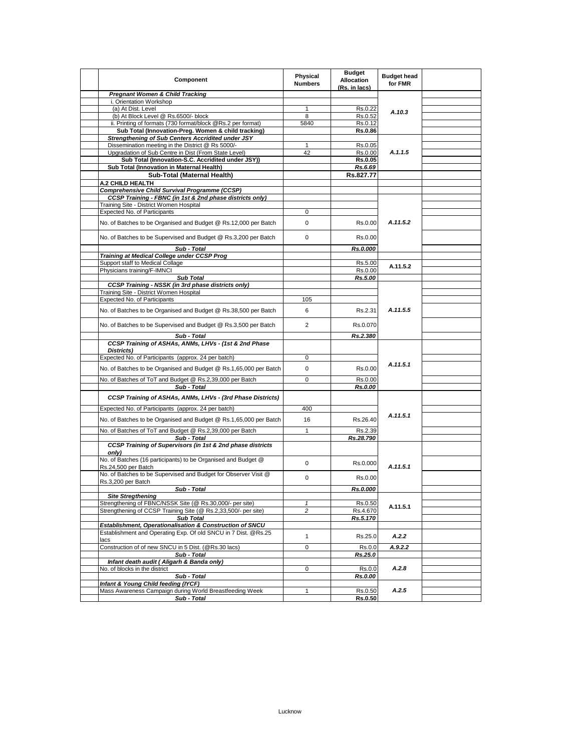| Component                                                                             | Physical<br><b>Numbers</b> | <b>Budget</b><br><b>Allocation</b> | <b>Budget head</b><br>for FMR |  |
|---------------------------------------------------------------------------------------|----------------------------|------------------------------------|-------------------------------|--|
|                                                                                       |                            | (Rs. in lacs)                      |                               |  |
| <b>Pregnant Women &amp; Child Tracking</b><br>i. Orientation Workshop                 |                            |                                    |                               |  |
| (a) At Dist. Level                                                                    | 1                          | Rs.0.22                            |                               |  |
| (b) At Block Level @ Rs.6500/- block                                                  | 8                          | Rs.0.52                            | A.10.3                        |  |
| ii. Printing of formats (730 format/block @Rs.2 per format)                           | 5840                       | Rs.0.12                            |                               |  |
| Sub Total (Innovation-Preg. Women & child tracking)                                   |                            | <b>Rs.0.86</b>                     |                               |  |
| Strengthening of Sub Centers Accridited under JSY                                     |                            |                                    |                               |  |
| Dissemination meeting in the District @ Rs 5000/-                                     | $\mathbf{1}$               | Rs.0.05                            |                               |  |
| Upgradation of Sub Centre in Dist (From State Level)                                  | 42                         | Rs.0.00                            | A.1.1.5                       |  |
| Sub Total (Innovation-S.C. Accridited under JSY))                                     |                            | Rs.0.05                            |                               |  |
| Sub Total (Innovation in Maternal Health)                                             |                            | Rs.6.69                            |                               |  |
| Sub-Total (Maternal Health)                                                           |                            | Rs.827.77                          |                               |  |
| A.2 CHILD HEALTH                                                                      |                            |                                    |                               |  |
| <b>Comprehensive Child Survival Programme (CCSP)</b>                                  |                            |                                    |                               |  |
| CCSP Training - FBNC (in 1st & 2nd phase districts only)                              |                            |                                    |                               |  |
| Training Site - District Women Hospital                                               |                            |                                    |                               |  |
| Expected No. of Participants                                                          | 0                          |                                    |                               |  |
| No. of Batches to be Organised and Budget @ Rs.12,000 per Batch                       | 0                          | Rs.0.00                            | A.11.5.2                      |  |
| No. of Batches to be Supervised and Budget @ Rs.3,200 per Batch                       | $\mathbf 0$                | Rs.0.00                            |                               |  |
| Sub - Total                                                                           |                            | Rs.0.000                           |                               |  |
| Training at Medical College under CCSP Prog<br>Support staff to Medical Collage       |                            |                                    |                               |  |
| Physicians training/F-IMNCI                                                           |                            | Rs.5.00<br>Rs.0.00                 | A.11.5.2                      |  |
| <b>Sub Total</b>                                                                      |                            | Rs.5.00                            |                               |  |
| CCSP Training - NSSK (in 3rd phase districts only)                                    |                            |                                    |                               |  |
| Training Site - District Women Hospital                                               |                            |                                    |                               |  |
| Expected No. of Participants                                                          | 105                        |                                    |                               |  |
| No. of Batches to be Organised and Budget @ Rs.38,500 per Batch                       | 6                          | Rs.2.31                            | A.11.5.5                      |  |
| No. of Batches to be Supervised and Budget @ Rs.3,500 per Batch                       | $\overline{2}$             | Rs.0.070                           |                               |  |
| Sub - Total                                                                           |                            | Rs.2.380                           |                               |  |
| CCSP Training of ASHAs, ANMs, LHVs - (1st & 2nd Phase                                 |                            |                                    |                               |  |
| Districts)                                                                            |                            |                                    |                               |  |
| Expected No. of Participants (approx. 24 per batch)                                   | 0                          |                                    |                               |  |
| No. of Batches to be Organised and Budget @ Rs.1,65,000 per Batch                     | $\mathbf 0$                | Rs.0.00                            | A.11.5.1                      |  |
| No. of Batches of ToT and Budget @ Rs.2,39,000 per Batch                              | $\mathbf 0$                | Rs.0.00                            |                               |  |
| Sub - Total                                                                           |                            | Rs.0.00                            |                               |  |
| CCSP Training of ASHAs, ANMs, LHVs - (3rd Phase Districts)                            |                            |                                    |                               |  |
| Expected No. of Participants (approx. 24 per batch)                                   | 400                        |                                    |                               |  |
| No. of Batches to be Organised and Budget @ Rs.1,65,000 per Batch                     | 16                         | Rs.26.40                           | A.11.5.1                      |  |
| No. of Batches of ToT and Budget @ Rs.2,39,000 per Batch                              | $\mathbf{1}$               | Rs.2.39                            |                               |  |
| Sub - Total                                                                           |                            | Rs.28.790                          |                               |  |
| CCSP Training of Supervisors (in 1st & 2nd phase districts<br>only)                   |                            |                                    |                               |  |
| No. of Batches (16 participants) to be Organised and Budget @<br>Rs.24,500 per Batch  | 0                          | Rs.0.000                           | A.11.5.1                      |  |
| No. of Batches to be Supervised and Budget for Observer Visit @<br>Rs.3,200 per Batch | $\mathbf 0$                | Rs.0.00                            |                               |  |
| Sub - Total                                                                           |                            | Rs.0.000                           |                               |  |
| <b>Site Stregthening</b>                                                              |                            |                                    |                               |  |
| Strengthening of FBNC/NSSK Site (@ Rs.30,000/- per site)                              | $\mathbf{1}$               | Rs.0.50                            | A.11.5.1                      |  |
| Strengthening of CCSP Training Site (@ Rs.2,33,500/- per site)                        | 2                          | Rs.4.670                           |                               |  |
| <b>Sub Total</b><br>Establishment, Operationalisation & Construction of SNCU          |                            | Rs.5.170                           |                               |  |
| Establishment and Operating Exp. Of old SNCU in 7 Dist. @Rs.25                        |                            |                                    |                               |  |
| lacs                                                                                  | $\mathbf{1}$               | Rs.25.0                            | A.2.2                         |  |
| Construction of of new SNCU in 5 Dist. (@Rs.30 lacs)                                  | 0                          | Rs.0.0                             | A.9.2.2                       |  |
| Sub - Total                                                                           |                            | Rs.25.0                            |                               |  |
| Infant death audit (Aligarh & Banda only)                                             |                            |                                    |                               |  |
| No. of blocks in the district                                                         | 0                          | Rs.0.0                             | A.2.8                         |  |
| Sub - Total<br>Infant & Young Child feeding (IYCF)                                    |                            | Rs.0.00                            |                               |  |
| Mass Awareness Campaign during World Breastfeeding Week                               | $\mathbf{1}$               | Rs.0.50                            | A.2.5                         |  |
| Sub - Total                                                                           |                            | Rs.0.50                            |                               |  |
|                                                                                       |                            |                                    |                               |  |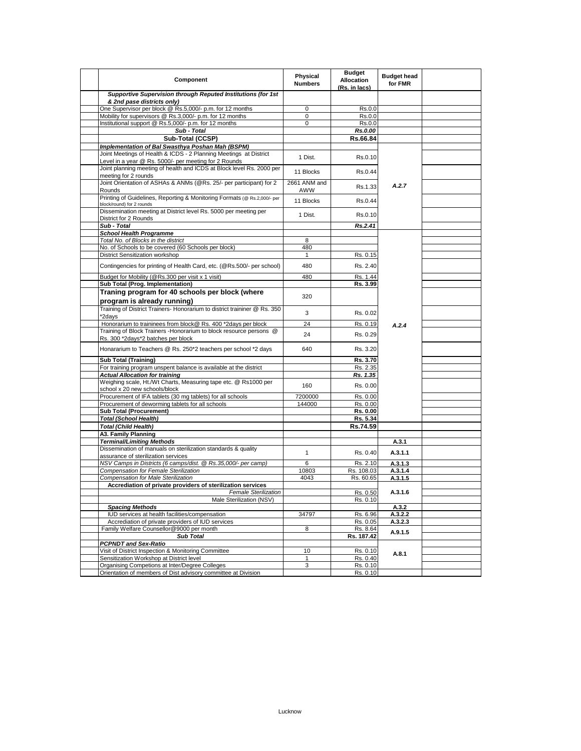| Component                                                                                                                  | Physical<br><b>Numbers</b> | <b>Budget</b><br><b>Allocation</b><br>(Rs. in lacs) | <b>Budget head</b><br>for FMR |  |
|----------------------------------------------------------------------------------------------------------------------------|----------------------------|-----------------------------------------------------|-------------------------------|--|
| Supportive Supervision through Reputed Institutions (for 1st<br>& 2nd pase districts only)                                 |                            |                                                     |                               |  |
| One Supervisor per block @ Rs.5,000/- p.m. for 12 months                                                                   | 0                          | Rs.0.0                                              |                               |  |
| Mobility for supervisors @ Rs.3,000/- p.m. for 12 months                                                                   | 0                          | Rs.0.0                                              |                               |  |
| Institutional support @ Rs.5,000/- p.m. for 12 months                                                                      | 0                          | Rs.0.0                                              |                               |  |
| Sub - Total                                                                                                                |                            | Rs.0.00                                             |                               |  |
| Sub-Total (CCSP)                                                                                                           |                            | Rs.66.84                                            |                               |  |
| Implementation of Bal Swasthya Poshan Mah (BSPM)                                                                           |                            |                                                     |                               |  |
| Joint Meetings of Health & ICDS - 2 Planning Meetings at District<br>Level in a year @ Rs. 5000/- per meeting for 2 Rounds | 1 Dist.                    | Rs.0.10                                             |                               |  |
| Joint planning meeting of health and ICDS at Block level Rs. 2000 per<br>meeting for 2 rounds                              | 11 Blocks                  | Rs.0.44                                             |                               |  |
| Joint Orientation of ASHAs & ANMs (@Rs. 25/- per participant) for 2<br>Rounds                                              | 2661 ANM and<br>AWW        | Rs.1.33                                             | A.2.7                         |  |
| Printing of Guidelines, Reporting & Monitoring Formats (@ Rs.2,000/- per<br>block/round) for 2 rounds                      | 11 Blocks                  | Rs.0.44                                             |                               |  |
| Dissemination meeting at District level Rs. 5000 per meeting per<br>District for 2 Rounds                                  | 1 Dist.                    | Rs.0.10                                             |                               |  |
| Sub - Total                                                                                                                |                            | Rs.2.41                                             |                               |  |
| <b>School Health Programme</b>                                                                                             |                            |                                                     |                               |  |
| Total No. of Blocks in the district                                                                                        | 8                          |                                                     |                               |  |
| No. of Schools to be covered (60 Schools per block)                                                                        | 480                        |                                                     |                               |  |
| District Sensitization workshop                                                                                            | 1                          | Rs. 0.15                                            |                               |  |
| Contingencies for printing of Health Card, etc. (@Rs.500/- per school)                                                     | 480                        | Rs. 2.40                                            |                               |  |
| Budget for Mobility (@Rs.300 per visit x 1 visit)                                                                          | 480                        | Rs. 1.44                                            |                               |  |
| Sub Total (Prog. Implementation)                                                                                           |                            | Rs. 3.99                                            |                               |  |
| Traning program for 40 schools per block (where<br>program is already running)                                             | 320                        |                                                     |                               |  |
| Training of District Trainers- Honorarium to district traininer @ Rs. 350<br>*2days                                        | 3                          | Rs. 0.02                                            |                               |  |
| Honorarium to traininees from block@ Rs. 400 *2days per block                                                              | 24                         | Rs. 0.19                                            | A.2.4                         |  |
| Training of Block Trainers - Honorarium to block resource persons @<br>Rs. 300 *2days*2 batches per block                  | 24                         | Rs. 0.29                                            |                               |  |
| Honararium to Teachers @ Rs. 250*2 teachers per school *2 days                                                             | 640                        | Rs. 3.20                                            |                               |  |
| <b>Sub Total (Training)</b>                                                                                                |                            | Rs. 3.70                                            |                               |  |
| For training program unspent balance is available at the district                                                          |                            | Rs. 2.35                                            |                               |  |
| <b>Actual Allocation for training</b>                                                                                      |                            | Rs. 1.35                                            |                               |  |
| Weighing scale, Ht./Wt Charts, Measuring tape etc. @ Rs1000 per<br>school x 20 new schools/block                           | 160                        | Rs. 0.00                                            |                               |  |
| Procurement of IFA tablets (30 mg tablets) for all schools                                                                 | 7200000                    | Rs. 0.00                                            |                               |  |
| Procurement of deworming tablets for all schools                                                                           | 144000                     | Rs. 0.00                                            |                               |  |
| <b>Sub Total (Procurement)</b>                                                                                             |                            | Rs. 0.00                                            |                               |  |
| <b>Total (School Health)</b>                                                                                               |                            | Rs. 5.34                                            |                               |  |
| <b>Total (Child Health)</b>                                                                                                |                            | Rs.74.59                                            |                               |  |
| A3. Family Planning                                                                                                        |                            |                                                     |                               |  |
| <b>Terminal/Limiting Methods</b>                                                                                           |                            |                                                     | A.3.1                         |  |
| Dissemination of manuals on sterilization standards & quality<br>assurance of sterilization services                       | $\mathbf{1}$               | Rs. 0.40                                            | A.3.1.1                       |  |
| NSV Camps in Districts (6 camps/dist. @ Rs.35,000/- per camp)                                                              | 6                          | Rs. 2.10                                            | A.3.1.3                       |  |
| Compensation for Female Sterilization                                                                                      | 10803                      | Rs. 108.03                                          | A.3.1.4                       |  |
| Compensation for Male Sterilization                                                                                        | 4043                       | Rs. 60.65                                           | A.3.1.5                       |  |
| Accrediation of private providers of sterilization services                                                                |                            |                                                     | A.3.1.6                       |  |
| <b>Female Sterilization</b>                                                                                                |                            | Rs. 0.50                                            |                               |  |
| Male Sterilization (NSV)                                                                                                   |                            | Rs. 0.10                                            |                               |  |
| <b>Spacing Methods</b><br>IUD services at health facilities/compensation                                                   | 34797                      | Rs. 6.96                                            | A.3.2<br>A.3.2.2              |  |
| Accrediation of private providers of IUD services                                                                          |                            | Rs. 0.05                                            | A.3.2.3                       |  |
| Family Welfare Counsellor@9000 per month                                                                                   | 8                          | Rs. 8.64                                            |                               |  |
| <b>Sub Total</b>                                                                                                           |                            | Rs. 187.42                                          | A.9.1.5                       |  |
| <b>PCPNDT and Sex-Ratio</b>                                                                                                |                            |                                                     |                               |  |
| Visit of District Inspection & Monitoring Committee                                                                        | 10                         | Rs. 0.10                                            |                               |  |
| Sensitization Workshop at District level                                                                                   | $\mathbf{1}$               | Rs. 0.40                                            | A.8.1                         |  |
| Organising Competions at Inter/Degree Colleges                                                                             | 3                          | Rs. 0.10                                            |                               |  |
| Orientation of members of Dist advisory committee at Division                                                              |                            | Rs. 0.10                                            |                               |  |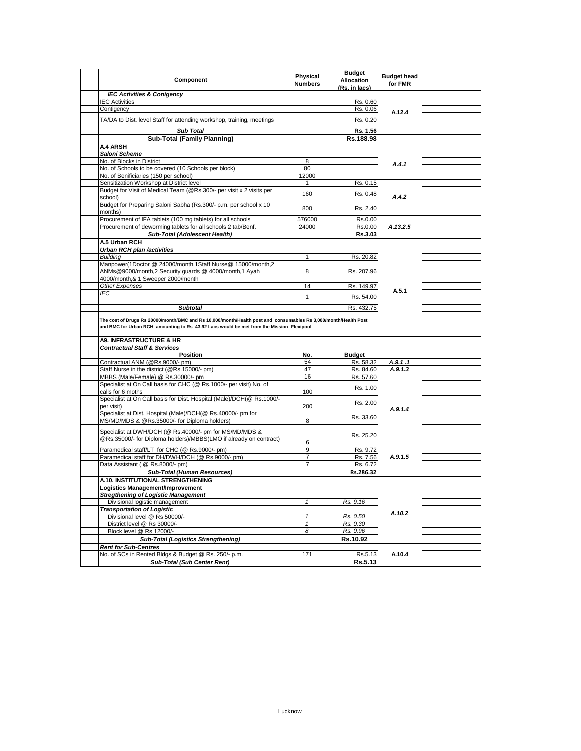| Component                                                                                                                                                                                                   | Physical<br><b>Numbers</b> | <b>Budget</b><br><b>Allocation</b><br>(Rs. in lacs) | <b>Budget head</b><br>for FMR |  |
|-------------------------------------------------------------------------------------------------------------------------------------------------------------------------------------------------------------|----------------------------|-----------------------------------------------------|-------------------------------|--|
| <b>IEC Activities &amp; Conigency</b>                                                                                                                                                                       |                            |                                                     |                               |  |
| <b>IEC Activities</b>                                                                                                                                                                                       |                            | Rs. 0.60                                            |                               |  |
| Contigency                                                                                                                                                                                                  |                            | Rs. 0.06                                            |                               |  |
| TA/DA to Dist. level Staff for attending workshop, training, meetings                                                                                                                                       |                            | Rs. 0.20                                            | A.12.4                        |  |
| <b>Sub Total</b>                                                                                                                                                                                            |                            | Rs. 1.56                                            |                               |  |
| Sub-Total (Family Planning)                                                                                                                                                                                 |                            | Rs.188.98                                           |                               |  |
| A.4 ARSH                                                                                                                                                                                                    |                            |                                                     |                               |  |
| Saloni Scheme                                                                                                                                                                                               |                            |                                                     |                               |  |
| No. of Blocks in District                                                                                                                                                                                   | 8                          |                                                     |                               |  |
| No. of Schools to be covered (10 Schools per block)                                                                                                                                                         | 80                         |                                                     | A.4.1                         |  |
| No. of Benificiaries (150 per school)                                                                                                                                                                       | 12000                      |                                                     |                               |  |
| Sensitization Workshop at District level                                                                                                                                                                    |                            | Rs. 0.15                                            |                               |  |
| Budget for Visit of Medical Team (@Rs.300/- per visit x 2 visits per                                                                                                                                        |                            |                                                     |                               |  |
| school)<br>Budget for Preparing Saloni Sabha (Rs.300/- p.m. per school x 10                                                                                                                                 | 160                        | Rs. 0.48                                            | A.4.2                         |  |
| months)                                                                                                                                                                                                     | 800                        | Rs. 2.40                                            |                               |  |
| Procurement of IFA tablets (100 mg tablets) for all schools                                                                                                                                                 | 576000                     | Rs.0.00                                             |                               |  |
| Procurement of deworming tablets for all schools 2 tab/Benf.                                                                                                                                                | 24000                      | Rs.0.00                                             | A.13.2.5                      |  |
| Sub-Total (Adolescent Health)                                                                                                                                                                               |                            | Rs.3.03                                             |                               |  |
| A.5 Urban RCH                                                                                                                                                                                               |                            |                                                     |                               |  |
| Urban RCH plan /activities                                                                                                                                                                                  |                            |                                                     |                               |  |
| <b>Building</b>                                                                                                                                                                                             | 1                          | Rs. 20.82                                           |                               |  |
| Manpower(1Doctor @ 24000/month,1Staff Nurse@ 15000/month,2<br>ANMs@9000/month,2 Security guards @ 4000/month,1 Ayah<br>4000/month,& 1 Sweeper 2000/month                                                    | 8                          | Rs. 207.96                                          |                               |  |
| Other Expenses                                                                                                                                                                                              | 14                         | Rs. 149.97                                          |                               |  |
| IEC                                                                                                                                                                                                         |                            |                                                     | A.5.1                         |  |
|                                                                                                                                                                                                             | $\mathbf{1}$               | Rs. 54.00                                           |                               |  |
| <b>Subtotal</b>                                                                                                                                                                                             |                            | Rs. 432.75                                          |                               |  |
| The cost of Drugs Rs 20000/month/BMC and Rs 10,000/month/Health post and consumables Rs 3,000/month/Health Post<br>and BMC for Urban RCH amounting to Rs 43.92 Lacs would be met from the Mission Flexipool |                            |                                                     |                               |  |
| <b>A9. INFRASTRUCTURE &amp; HR</b>                                                                                                                                                                          |                            |                                                     |                               |  |
| <b>Contractual Staff &amp; Services</b>                                                                                                                                                                     |                            |                                                     |                               |  |
| Position                                                                                                                                                                                                    | No.                        | <b>Budget</b>                                       |                               |  |
| Contractual ANM (@Rs.9000/- pm)                                                                                                                                                                             | 54                         | Rs. 58.32                                           | A.9.1.1                       |  |
| Staff Nurse in the district (@Rs.15000/- pm)                                                                                                                                                                | 47                         | Rs. 84.60                                           | A.9.1.3                       |  |
| MBBS (Male/Female) @ Rs.30000/- pm                                                                                                                                                                          | 16                         | Rs. 57.60                                           |                               |  |
| Specialist at On Call basis for CHC (@ Rs.1000/- per visit) No. of<br>calls for 6 moths                                                                                                                     | 100                        | Rs. 1.00                                            |                               |  |
| Specialist at On Call basis for Dist. Hospital (Male)/DCH(@ Rs.1000/-<br>per visit)                                                                                                                         | 200                        | Rs. 2.00                                            | A.9.1.4                       |  |
| Specialist at Dist. Hospital (Male)/DCH(@ Rs.40000/- pm for<br>MS/MD/MDS & @Rs.35000/- for Diploma holders)                                                                                                 | 8                          | Rs. 33.60                                           |                               |  |
| Specialist at DWH/DCH (@ Rs.40000/- pm for MS/MD/MDS &<br>@Rs.35000/- for Diploma holders)/MBBS(LMO if already on contract)                                                                                 | 6                          | Rs. 25.20                                           |                               |  |
| Paramedical staff/LT for CHC (@ Rs.9000/- pm)                                                                                                                                                               | 9                          | Rs. 9.72                                            |                               |  |
| Paramedical staff for DH/DWH/DCH (@ Rs.9000/- pm)                                                                                                                                                           | 7                          | Rs. 7.56                                            | A.9.1.5                       |  |
| Data Assistant (@ Rs.8000/- pm)                                                                                                                                                                             | $\overline{7}$             | Rs. 6.72                                            |                               |  |
| Sub-Total (Human Resources)                                                                                                                                                                                 |                            | Rs.286.32                                           |                               |  |
| A.10. INSTITUTIONAL STRENGTHENING                                                                                                                                                                           |                            |                                                     |                               |  |
| Logistics Management/Improvement                                                                                                                                                                            |                            |                                                     |                               |  |
| <b>Stregthening of Logistic Management</b>                                                                                                                                                                  |                            |                                                     |                               |  |
| Divisional logistic management                                                                                                                                                                              | $\mathbf{1}$               | Rs. 9.16                                            |                               |  |
| <b>Transportation of Logistic</b>                                                                                                                                                                           |                            |                                                     |                               |  |
| Divisional level @ Rs 50000/-                                                                                                                                                                               | $\mathbf{1}$               | Rs. 0.50                                            | A.10.2                        |  |
| District level @ Rs 30000/-                                                                                                                                                                                 | $\mathbf{1}$               | Rs. 0.30                                            |                               |  |
| Block level @ Rs 12000/-                                                                                                                                                                                    | 8                          | Rs. 0.96                                            |                               |  |
| <b>Sub-Total (Logistics Strengthening)</b>                                                                                                                                                                  |                            | Rs.10.92                                            |                               |  |
| <b>Rent for Sub-Centres</b>                                                                                                                                                                                 |                            |                                                     |                               |  |
| No. of SCs in Rented Bldgs & Budget @ Rs. 250/- p.m.                                                                                                                                                        | 171                        | Rs.5.13                                             | A.10.4                        |  |
| <b>Sub-Total (Sub Center Rent)</b>                                                                                                                                                                          |                            | Rs.5.13                                             |                               |  |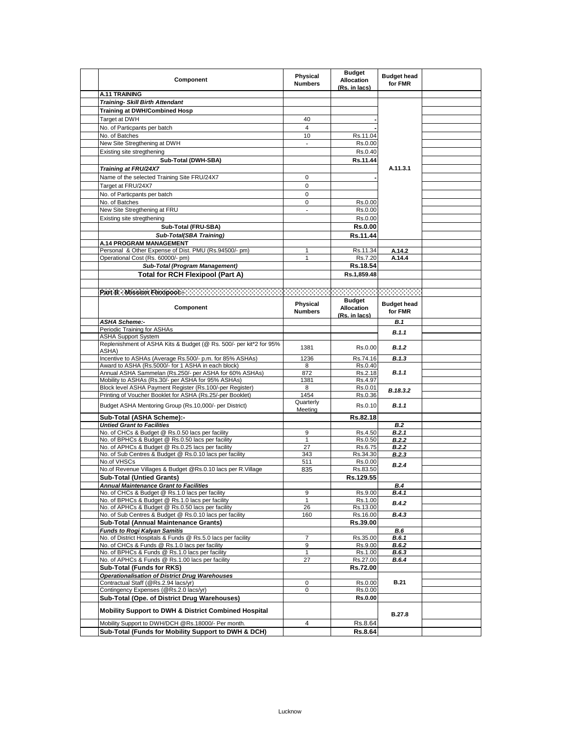| Component                                                                                               | Physical<br><b>Numbers</b> | <b>Budget</b><br><b>Allocation</b><br>(Rs. in lacs) | <b>Budget head</b><br>for FMR |  |
|---------------------------------------------------------------------------------------------------------|----------------------------|-----------------------------------------------------|-------------------------------|--|
| <b>A.11 TRAINING</b>                                                                                    |                            |                                                     |                               |  |
| <b>Training- Skill Birth Attendant</b>                                                                  |                            |                                                     |                               |  |
| <b>Training at DWH/Combined Hosp</b>                                                                    |                            |                                                     |                               |  |
| Target at DWH                                                                                           | 40                         |                                                     |                               |  |
| No. of Particpants per batch                                                                            | $\overline{4}$             |                                                     |                               |  |
| No. of Batches                                                                                          | 10                         | Rs.11.04                                            |                               |  |
| New Site Stregthening at DWH                                                                            | $\overline{\phantom{a}}$   | Rs.0.00                                             |                               |  |
| Existing site stregthening                                                                              |                            | Rs.0.40                                             |                               |  |
| Sub-Total (DWH-SBA)                                                                                     |                            | Rs.11.44                                            |                               |  |
|                                                                                                         |                            |                                                     | A.11.3.1                      |  |
| <b>Training at FRU/24X7</b>                                                                             |                            |                                                     |                               |  |
| Name of the selected Training Site FRU/24X7                                                             | 0                          |                                                     |                               |  |
| Target at FRU/24X7                                                                                      | $\mathbf 0$                |                                                     |                               |  |
| No. of Particpants per batch                                                                            | 0                          |                                                     |                               |  |
| No. of Batches                                                                                          | $\pmb{0}$                  | Rs.0.00                                             |                               |  |
| New Site Stregthening at FRU                                                                            |                            | Rs.0.00                                             |                               |  |
| Existing site stregthening                                                                              |                            | Rs.0.00                                             |                               |  |
| Sub-Total (FRU-SBA)                                                                                     |                            | <b>Rs.0.00</b>                                      |                               |  |
| Sub-Total(SBA Training)                                                                                 |                            | Rs.11.44                                            |                               |  |
| A.14 PROGRAM MANAGEMENT                                                                                 |                            |                                                     |                               |  |
| Personal & Other Expense of Dist. PMU (Rs.94500/- pm)                                                   | 1                          | Rs.11.34                                            | A.14.2                        |  |
| Operational Cost (Rs. 60000/- pm)                                                                       | 1                          | Rs.7.20                                             | A.14.4                        |  |
| Sub-Total (Program Management)                                                                          |                            | Rs.18.54                                            |                               |  |
| <b>Total for RCH Flexipool (Part A)</b>                                                                 |                            | Rs.1,859.48                                         |                               |  |
|                                                                                                         |                            |                                                     |                               |  |
|                                                                                                         |                            |                                                     |                               |  |
| Part B - Mission Flexipools and account the contract of the contract of the contract of the contract of |                            |                                                     |                               |  |
|                                                                                                         | Physical                   | <b>Budget</b>                                       | <b>Budget head</b>            |  |
| Component                                                                                               | <b>Numbers</b>             | <b>Allocation</b>                                   | for FMR                       |  |
|                                                                                                         |                            | (Rs. in lacs)                                       |                               |  |
| <b>ASHA Scheme:-</b>                                                                                    |                            |                                                     | B.1                           |  |
| Periodic Training for ASHAs                                                                             |                            |                                                     | B.1.1                         |  |
| <b>ASHA Support System</b>                                                                              |                            |                                                     |                               |  |
| Replenishment of ASHA Kits & Budget (@ Rs. 500/- per kit*2 for 95%<br>ASHA)                             | 1381                       | Rs.0.00                                             | B.1.2                         |  |
| Incentive to ASHAs (Average Rs.500/- p.m. for 85% ASHAs)                                                | 1236                       | Rs.74.16                                            | B.1.3                         |  |
| Award to ASHA (Rs.5000/- for 1 ASHA in each block)                                                      | 8                          | Rs.0.40                                             |                               |  |
| Annual ASHA Sammelan (Rs.250/- per ASHA for 60% ASHAs)                                                  | 872                        | Rs.2.18                                             | B.1.1                         |  |
| Mobility to ASHAs (Rs.30/- per ASHA for 95% ASHAs)                                                      | 1381                       | Rs.4.97                                             |                               |  |
| Block level ASHA Payment Register (Rs.100/-per Register)                                                | 8                          | Rs.0.01                                             |                               |  |
| Printing of Voucher Booklet for ASHA (Rs.25/-per Booklet)                                               | 1454                       | Rs.0.36                                             | B.18.3.2                      |  |
|                                                                                                         | Quarterly                  |                                                     |                               |  |
| Budget ASHA Mentoring Group (Rs.10,000/- per District)                                                  | Meeting                    | Rs.0.10                                             | B.1.1                         |  |
| Sub-Total (ASHA Scheme):-                                                                               |                            | Rs.82.18                                            |                               |  |
| <b>Untied Grant to Facilities</b>                                                                       |                            |                                                     | B.2                           |  |
| No. of CHCs & Budget @ Rs.0.50 lacs per facility                                                        | 9                          | Rs.4.50                                             | B.2.1                         |  |
| No. of BPHCs & Budget @ Rs.0.50 lacs per facility                                                       | $\mathbf{1}$               | Rs.0.50                                             | B.2.2                         |  |
| No. of APHCs & Budget @ Rs.0.25 lacs per facility                                                       | 27                         | Rs.6.75                                             | B.2.2                         |  |
| No. of Sub Centres & Budget @ Rs.0.10 lacs per facility                                                 | 343                        | Rs.34.30                                            | <b>B.2.3</b>                  |  |
| No.of VHSCs                                                                                             | 511                        | Rs.0.00                                             | B.2.4                         |  |
| No.of Revenue Villages & Budget @Rs.0.10 lacs per R.Village                                             | 835                        | Rs.83.50                                            |                               |  |
| Sub-Total (Untied Grants)                                                                               |                            | Rs.129.55                                           |                               |  |
| <b>Annual Maintenance Grant to Facilities</b>                                                           |                            |                                                     | B.4                           |  |
| No. of CHCs & Budget @ Rs.1.0 lacs per facility                                                         | 9                          | Rs.9.00                                             | B.4.                          |  |
| No. of BPHCs & Budget @ Rs.1.0 lacs per facility                                                        | 1                          | Rs.1.00                                             | <b>B.4.2</b>                  |  |
| No. of APHCs & Budget @ Rs.0.50 lacs per facility                                                       | 26                         | Rs.13.00                                            |                               |  |
| No. of Sub Centres & Budget @ Rs.0.10 lacs per facility                                                 | 160                        | Rs.16.00                                            | <b>B.4.3</b>                  |  |
| Sub-Total (Annual Maintenance Grants)                                                                   |                            | Rs.39.00                                            |                               |  |
| <b>Funds to Rogi Kalyan Samitis</b>                                                                     |                            |                                                     | B.6                           |  |
| No. of District Hospitals & Funds @ Rs.5.0 lacs per facility                                            | 7                          | Rs.35.00                                            | B.6.1                         |  |
| No. of CHCs & Funds @ Rs.1.0 lacs per facility                                                          | 9                          | Rs.9.00                                             | <b>B.6.2</b>                  |  |
| No. of BPHCs & Funds @ Rs.1.0 lacs per facility                                                         | $\mathbf{1}$               | Rs.1.00                                             | <b>B.6.3</b>                  |  |
| No. of APHCs & Funds @ Rs.1.00 lacs per facility                                                        | 27                         | Rs.27.00                                            | <b>B.6.4</b>                  |  |
| Sub-Total (Funds for RKS)                                                                               |                            | Rs.72.00                                            |                               |  |
| <b>Operationalisation of District Drug Warehouses</b>                                                   |                            |                                                     |                               |  |
| Contractual Staff (@Rs.2.94 lacs/yr)                                                                    | 0                          | Rs.0.00                                             | <b>B.21</b>                   |  |
| Contingency Expenses (@Rs.2.0 lacs/yr)                                                                  | 0                          | Rs.0.00                                             |                               |  |
| Sub-Total (Ope. of District Drug Warehouses)                                                            |                            | Rs.0.00                                             |                               |  |
| Mobility Support to DWH & District Combined Hospital                                                    |                            |                                                     | B.27.8                        |  |
| Mobility Support to DWH/DCH @Rs.18000/- Per month.                                                      | 4                          | Rs.8.64                                             |                               |  |
| Sub-Total (Funds for Mobility Support to DWH & DCH)                                                     |                            | <b>Rs.8.64</b>                                      |                               |  |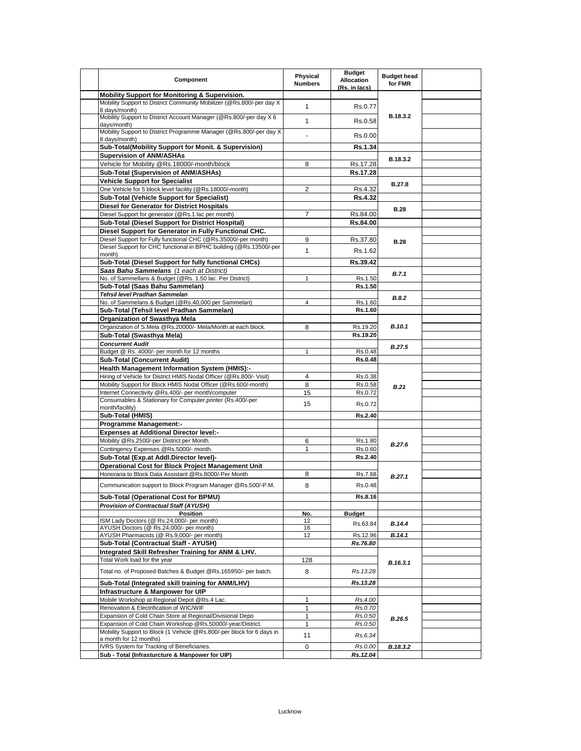| Mobility Support for Monitoring & Supervision.<br>Mobility Support to District Community Mobilizer (@Rs.800/-per day X<br>$\mathbf{1}$<br>Rs.0.77<br>8 days/month)<br>Mobility Support to District Account Manager (@Rs.800/-per day X 6<br>B.18.3.2<br>$\mathbf{1}$<br>Rs.0.58<br>days/month)<br>Mobility Support to District Programme Manager (@Rs.800/-per day X)<br>Rs.0.00<br>8 days/month)<br>Sub-Total(Mobility Support for Monit. & Supervision)<br><b>Rs.1.34</b><br><b>Supervision of ANM/ASHAs</b><br>B.18.3.2<br>Vehicle for Mobility @Rs.18000/-month/block<br>8<br>Rs.17.28<br>Sub-Total (Supervision of ANM/ASHAs)<br>Rs.17.28<br><b>Vehicle Support for Specialist</b><br><b>B.27.8</b><br>One Vehicle for 5 block level facility (@Rs.18000/-month)<br>2<br>Rs.4.32<br>Sub-Total (Vehicle Support for Specialist)<br><b>Rs.4.32</b><br><b>Diesel for Generator for District Hospitals</b><br><b>B.28</b><br>Diesel Support for generator (@Rs.1 lac per month)<br>$\overline{7}$<br>Rs.84.00<br>Sub-Total (Diesel Support for District Hospital)<br>Rs.84.00<br>Diesel Support for Generator in Fully Functional CHC.<br>Diesel Support for Fully functional CHC (@Rs.35000/-per month)<br>9<br>Rs.37.80<br><b>B.28</b><br>Diesel Support for CHC functional in BPHC building (@Rs.13500/-per<br>$\mathbf{1}$<br>Rs.1.62<br>month)<br>Sub-Total (Diesel Support for fully functional CHCs)<br>Rs.39.42<br>Saas Bahu Sammelans (1 each at District)<br>B.7.1<br>No. of Sammellans & Budget (@Rs. 1.50 lac. Per District)<br>1<br>Rs.1.50<br>Sub-Total (Saas Bahu Sammelan)<br>Rs.1.50<br>Tehsil level Pradhan Sammelan<br><b>B.8.2</b><br>No. of Sammelans & Budget (@Rs.40,000 per Sammelan)<br>$\overline{4}$<br>Rs.1.60<br>Sub-Total (Tehsil level Pradhan Sammelan)<br>Rs.1.60<br>Organization of Swasthya Mela<br>Organization of S.Mela @Rs.20000/- Mela/Month at each block.<br><b>B.10.1</b><br>8<br>Rs.19.20<br>Sub-Total (Swasthya Mela)<br>Rs.19.20<br><b>Concurrent Audit</b><br><b>B.27.5</b><br>Budget @ Rs. 4000/- per month for 12 months<br>$\mathbf{1}$<br>Rs.0.48<br><b>Sub-Total (Concurrent Audit)</b><br><b>Rs.0.48</b><br><b>Health Management Information System (HMIS):-</b><br>Hiring of Vehicle for District HMIS Nodal Officer (@Rs.800/- Visit)<br>$\overline{4}$<br>Rs.0.38<br>Mobility Support for Block HMIS Nodal Officer (@Rs.600/-month)<br>8<br>Rs.0.58<br>B.21<br>Internet Connectivity @Rs.400/- per month/computer<br>15<br>Rs.0.72<br>Consumables & Stationary for Computer, printer (Rs.400/-per<br>15<br>Rs.0.72<br>month/facility)<br>Sub-Total (HMIS)<br>Rs.2.40<br><b>Programme Management:-</b><br><b>Expenses at Additional Director level:-</b><br>Mobility @Rs.2500/-per District per Month.<br>6<br>Rs.1.80<br>B.27.6<br>Contingency Expenses @Rs.5000/- month.<br>Rs.0.60<br>1<br>Sub-Total (Exp.at Addl.Director level)-<br>Rs.2.40<br>Operational Cost for Block Project Management Unit<br>Honoraria to Block Data Assistant @Rs.8000/-Per Month<br>8<br>Rs.7.68<br>B.27.1<br>Communication support to Block Program Manager @Rs.500/-P.M.<br>8<br>Rs.0.48<br>Sub-Total (Operational Cost for BPMU)<br>Rs.8.16<br><b>Provision of Contractual Staff (AYUSH)</b><br>Position<br>No.<br><b>Budget</b><br>ISM Lady Doctors (@ Rs.24,000/- per month)<br>12<br>B.14.4<br>Rs.63.84<br>AYUSH Doctors (@ Rs.24,000/- per month)<br>16<br>AYUSH Pharmacists (@ Rs.9,000/- per month)<br>12<br>B.14.1<br>Rs.12.96<br>Sub-Total (Contractual Staff - AYUSH)<br>Rs.76.80<br>Integrated Skill Refresher Training for ANM & LHV.<br>Total Work load for the year<br>128<br>B.16.3.1<br>Total no. of Proposed Batches & Budget @Rs.165950/- per batch.<br>8<br>Rs.13.28<br>Sub-Total (Integrated skill training for ANM/LHV)<br>Rs.13.28<br>Infrastructure & Manpower for UIP<br>Mobile Workshop at Regional Depot @Rs.4 Lac.<br>Rs.4.00<br>$\mathbf{1}$<br>Renovation & Electrification of WIC/WIF<br>1<br>Rs.0.70<br>Expansion of Cold Chain Store at Regional/Divisional Depo<br>$\mathbf{1}$<br>Rs.0.50<br>B.26.5<br>Expansion of Cold Chain Workshop @Rs.50000/-year/District.<br>$\mathbf{1}$<br>Rs.0.50<br>Mobility Support to Block (1 Vehicle @Rs.800/-per block for 6 days in<br>11<br>Rs.6.34<br>a month for 12 months)<br>IVRS System for Tracking of Beneficiaries.<br>Rs.0.00<br>B.18.3.2<br>0 | Component                                       | <b>Physical</b><br><b>Numbers</b> | <b>Budget</b><br><b>Allocation</b><br>(Rs. in lacs) | <b>Budget head</b><br>for FMR |  |
|-----------------------------------------------------------------------------------------------------------------------------------------------------------------------------------------------------------------------------------------------------------------------------------------------------------------------------------------------------------------------------------------------------------------------------------------------------------------------------------------------------------------------------------------------------------------------------------------------------------------------------------------------------------------------------------------------------------------------------------------------------------------------------------------------------------------------------------------------------------------------------------------------------------------------------------------------------------------------------------------------------------------------------------------------------------------------------------------------------------------------------------------------------------------------------------------------------------------------------------------------------------------------------------------------------------------------------------------------------------------------------------------------------------------------------------------------------------------------------------------------------------------------------------------------------------------------------------------------------------------------------------------------------------------------------------------------------------------------------------------------------------------------------------------------------------------------------------------------------------------------------------------------------------------------------------------------------------------------------------------------------------------------------------------------------------------------------------------------------------------------------------------------------------------------------------------------------------------------------------------------------------------------------------------------------------------------------------------------------------------------------------------------------------------------------------------------------------------------------------------------------------------------------------------------------------------------------------------------------------------------------------------------------------------------------------------------------------------------------------------------------------------------------------------------------------------------------------------------------------------------------------------------------------------------------------------------------------------------------------------------------------------------------------------------------------------------------------------------------------------------------------------------------------------------------------------------------------------------------------------------------------------------------------------------------------------------------------------------------------------------------------------------------------------------------------------------------------------------------------------------------------------------------------------------------------------------------------------------------------------------------------------------------------------------------------------------------------------------------------------------------------------------------------------------------------------------------------------------------------------------------------------------------------------------------------------------------------------------------------------------------------------------------------------------------------------------------------------------------------------------------------------------------------------------------------------------------------------------------------------------------------------------------------------------------------------------------------------------------------------------|-------------------------------------------------|-----------------------------------|-----------------------------------------------------|-------------------------------|--|
|                                                                                                                                                                                                                                                                                                                                                                                                                                                                                                                                                                                                                                                                                                                                                                                                                                                                                                                                                                                                                                                                                                                                                                                                                                                                                                                                                                                                                                                                                                                                                                                                                                                                                                                                                                                                                                                                                                                                                                                                                                                                                                                                                                                                                                                                                                                                                                                                                                                                                                                                                                                                                                                                                                                                                                                                                                                                                                                                                                                                                                                                                                                                                                                                                                                                                                                                                                                                                                                                                                                                                                                                                                                                                                                                                                                                                                                                                                                                                                                                                                                                                                                                                                                                                                                                                                                                                                       |                                                 |                                   |                                                     |                               |  |
|                                                                                                                                                                                                                                                                                                                                                                                                                                                                                                                                                                                                                                                                                                                                                                                                                                                                                                                                                                                                                                                                                                                                                                                                                                                                                                                                                                                                                                                                                                                                                                                                                                                                                                                                                                                                                                                                                                                                                                                                                                                                                                                                                                                                                                                                                                                                                                                                                                                                                                                                                                                                                                                                                                                                                                                                                                                                                                                                                                                                                                                                                                                                                                                                                                                                                                                                                                                                                                                                                                                                                                                                                                                                                                                                                                                                                                                                                                                                                                                                                                                                                                                                                                                                                                                                                                                                                                       |                                                 |                                   |                                                     |                               |  |
|                                                                                                                                                                                                                                                                                                                                                                                                                                                                                                                                                                                                                                                                                                                                                                                                                                                                                                                                                                                                                                                                                                                                                                                                                                                                                                                                                                                                                                                                                                                                                                                                                                                                                                                                                                                                                                                                                                                                                                                                                                                                                                                                                                                                                                                                                                                                                                                                                                                                                                                                                                                                                                                                                                                                                                                                                                                                                                                                                                                                                                                                                                                                                                                                                                                                                                                                                                                                                                                                                                                                                                                                                                                                                                                                                                                                                                                                                                                                                                                                                                                                                                                                                                                                                                                                                                                                                                       |                                                 |                                   |                                                     |                               |  |
|                                                                                                                                                                                                                                                                                                                                                                                                                                                                                                                                                                                                                                                                                                                                                                                                                                                                                                                                                                                                                                                                                                                                                                                                                                                                                                                                                                                                                                                                                                                                                                                                                                                                                                                                                                                                                                                                                                                                                                                                                                                                                                                                                                                                                                                                                                                                                                                                                                                                                                                                                                                                                                                                                                                                                                                                                                                                                                                                                                                                                                                                                                                                                                                                                                                                                                                                                                                                                                                                                                                                                                                                                                                                                                                                                                                                                                                                                                                                                                                                                                                                                                                                                                                                                                                                                                                                                                       |                                                 |                                   |                                                     |                               |  |
|                                                                                                                                                                                                                                                                                                                                                                                                                                                                                                                                                                                                                                                                                                                                                                                                                                                                                                                                                                                                                                                                                                                                                                                                                                                                                                                                                                                                                                                                                                                                                                                                                                                                                                                                                                                                                                                                                                                                                                                                                                                                                                                                                                                                                                                                                                                                                                                                                                                                                                                                                                                                                                                                                                                                                                                                                                                                                                                                                                                                                                                                                                                                                                                                                                                                                                                                                                                                                                                                                                                                                                                                                                                                                                                                                                                                                                                                                                                                                                                                                                                                                                                                                                                                                                                                                                                                                                       |                                                 |                                   |                                                     |                               |  |
|                                                                                                                                                                                                                                                                                                                                                                                                                                                                                                                                                                                                                                                                                                                                                                                                                                                                                                                                                                                                                                                                                                                                                                                                                                                                                                                                                                                                                                                                                                                                                                                                                                                                                                                                                                                                                                                                                                                                                                                                                                                                                                                                                                                                                                                                                                                                                                                                                                                                                                                                                                                                                                                                                                                                                                                                                                                                                                                                                                                                                                                                                                                                                                                                                                                                                                                                                                                                                                                                                                                                                                                                                                                                                                                                                                                                                                                                                                                                                                                                                                                                                                                                                                                                                                                                                                                                                                       |                                                 |                                   |                                                     |                               |  |
|                                                                                                                                                                                                                                                                                                                                                                                                                                                                                                                                                                                                                                                                                                                                                                                                                                                                                                                                                                                                                                                                                                                                                                                                                                                                                                                                                                                                                                                                                                                                                                                                                                                                                                                                                                                                                                                                                                                                                                                                                                                                                                                                                                                                                                                                                                                                                                                                                                                                                                                                                                                                                                                                                                                                                                                                                                                                                                                                                                                                                                                                                                                                                                                                                                                                                                                                                                                                                                                                                                                                                                                                                                                                                                                                                                                                                                                                                                                                                                                                                                                                                                                                                                                                                                                                                                                                                                       |                                                 |                                   |                                                     |                               |  |
|                                                                                                                                                                                                                                                                                                                                                                                                                                                                                                                                                                                                                                                                                                                                                                                                                                                                                                                                                                                                                                                                                                                                                                                                                                                                                                                                                                                                                                                                                                                                                                                                                                                                                                                                                                                                                                                                                                                                                                                                                                                                                                                                                                                                                                                                                                                                                                                                                                                                                                                                                                                                                                                                                                                                                                                                                                                                                                                                                                                                                                                                                                                                                                                                                                                                                                                                                                                                                                                                                                                                                                                                                                                                                                                                                                                                                                                                                                                                                                                                                                                                                                                                                                                                                                                                                                                                                                       |                                                 |                                   |                                                     |                               |  |
|                                                                                                                                                                                                                                                                                                                                                                                                                                                                                                                                                                                                                                                                                                                                                                                                                                                                                                                                                                                                                                                                                                                                                                                                                                                                                                                                                                                                                                                                                                                                                                                                                                                                                                                                                                                                                                                                                                                                                                                                                                                                                                                                                                                                                                                                                                                                                                                                                                                                                                                                                                                                                                                                                                                                                                                                                                                                                                                                                                                                                                                                                                                                                                                                                                                                                                                                                                                                                                                                                                                                                                                                                                                                                                                                                                                                                                                                                                                                                                                                                                                                                                                                                                                                                                                                                                                                                                       |                                                 |                                   |                                                     |                               |  |
|                                                                                                                                                                                                                                                                                                                                                                                                                                                                                                                                                                                                                                                                                                                                                                                                                                                                                                                                                                                                                                                                                                                                                                                                                                                                                                                                                                                                                                                                                                                                                                                                                                                                                                                                                                                                                                                                                                                                                                                                                                                                                                                                                                                                                                                                                                                                                                                                                                                                                                                                                                                                                                                                                                                                                                                                                                                                                                                                                                                                                                                                                                                                                                                                                                                                                                                                                                                                                                                                                                                                                                                                                                                                                                                                                                                                                                                                                                                                                                                                                                                                                                                                                                                                                                                                                                                                                                       |                                                 |                                   |                                                     |                               |  |
|                                                                                                                                                                                                                                                                                                                                                                                                                                                                                                                                                                                                                                                                                                                                                                                                                                                                                                                                                                                                                                                                                                                                                                                                                                                                                                                                                                                                                                                                                                                                                                                                                                                                                                                                                                                                                                                                                                                                                                                                                                                                                                                                                                                                                                                                                                                                                                                                                                                                                                                                                                                                                                                                                                                                                                                                                                                                                                                                                                                                                                                                                                                                                                                                                                                                                                                                                                                                                                                                                                                                                                                                                                                                                                                                                                                                                                                                                                                                                                                                                                                                                                                                                                                                                                                                                                                                                                       |                                                 |                                   |                                                     |                               |  |
|                                                                                                                                                                                                                                                                                                                                                                                                                                                                                                                                                                                                                                                                                                                                                                                                                                                                                                                                                                                                                                                                                                                                                                                                                                                                                                                                                                                                                                                                                                                                                                                                                                                                                                                                                                                                                                                                                                                                                                                                                                                                                                                                                                                                                                                                                                                                                                                                                                                                                                                                                                                                                                                                                                                                                                                                                                                                                                                                                                                                                                                                                                                                                                                                                                                                                                                                                                                                                                                                                                                                                                                                                                                                                                                                                                                                                                                                                                                                                                                                                                                                                                                                                                                                                                                                                                                                                                       |                                                 |                                   |                                                     |                               |  |
|                                                                                                                                                                                                                                                                                                                                                                                                                                                                                                                                                                                                                                                                                                                                                                                                                                                                                                                                                                                                                                                                                                                                                                                                                                                                                                                                                                                                                                                                                                                                                                                                                                                                                                                                                                                                                                                                                                                                                                                                                                                                                                                                                                                                                                                                                                                                                                                                                                                                                                                                                                                                                                                                                                                                                                                                                                                                                                                                                                                                                                                                                                                                                                                                                                                                                                                                                                                                                                                                                                                                                                                                                                                                                                                                                                                                                                                                                                                                                                                                                                                                                                                                                                                                                                                                                                                                                                       |                                                 |                                   |                                                     |                               |  |
|                                                                                                                                                                                                                                                                                                                                                                                                                                                                                                                                                                                                                                                                                                                                                                                                                                                                                                                                                                                                                                                                                                                                                                                                                                                                                                                                                                                                                                                                                                                                                                                                                                                                                                                                                                                                                                                                                                                                                                                                                                                                                                                                                                                                                                                                                                                                                                                                                                                                                                                                                                                                                                                                                                                                                                                                                                                                                                                                                                                                                                                                                                                                                                                                                                                                                                                                                                                                                                                                                                                                                                                                                                                                                                                                                                                                                                                                                                                                                                                                                                                                                                                                                                                                                                                                                                                                                                       |                                                 |                                   |                                                     |                               |  |
|                                                                                                                                                                                                                                                                                                                                                                                                                                                                                                                                                                                                                                                                                                                                                                                                                                                                                                                                                                                                                                                                                                                                                                                                                                                                                                                                                                                                                                                                                                                                                                                                                                                                                                                                                                                                                                                                                                                                                                                                                                                                                                                                                                                                                                                                                                                                                                                                                                                                                                                                                                                                                                                                                                                                                                                                                                                                                                                                                                                                                                                                                                                                                                                                                                                                                                                                                                                                                                                                                                                                                                                                                                                                                                                                                                                                                                                                                                                                                                                                                                                                                                                                                                                                                                                                                                                                                                       |                                                 |                                   |                                                     |                               |  |
|                                                                                                                                                                                                                                                                                                                                                                                                                                                                                                                                                                                                                                                                                                                                                                                                                                                                                                                                                                                                                                                                                                                                                                                                                                                                                                                                                                                                                                                                                                                                                                                                                                                                                                                                                                                                                                                                                                                                                                                                                                                                                                                                                                                                                                                                                                                                                                                                                                                                                                                                                                                                                                                                                                                                                                                                                                                                                                                                                                                                                                                                                                                                                                                                                                                                                                                                                                                                                                                                                                                                                                                                                                                                                                                                                                                                                                                                                                                                                                                                                                                                                                                                                                                                                                                                                                                                                                       |                                                 |                                   |                                                     |                               |  |
|                                                                                                                                                                                                                                                                                                                                                                                                                                                                                                                                                                                                                                                                                                                                                                                                                                                                                                                                                                                                                                                                                                                                                                                                                                                                                                                                                                                                                                                                                                                                                                                                                                                                                                                                                                                                                                                                                                                                                                                                                                                                                                                                                                                                                                                                                                                                                                                                                                                                                                                                                                                                                                                                                                                                                                                                                                                                                                                                                                                                                                                                                                                                                                                                                                                                                                                                                                                                                                                                                                                                                                                                                                                                                                                                                                                                                                                                                                                                                                                                                                                                                                                                                                                                                                                                                                                                                                       |                                                 |                                   |                                                     |                               |  |
|                                                                                                                                                                                                                                                                                                                                                                                                                                                                                                                                                                                                                                                                                                                                                                                                                                                                                                                                                                                                                                                                                                                                                                                                                                                                                                                                                                                                                                                                                                                                                                                                                                                                                                                                                                                                                                                                                                                                                                                                                                                                                                                                                                                                                                                                                                                                                                                                                                                                                                                                                                                                                                                                                                                                                                                                                                                                                                                                                                                                                                                                                                                                                                                                                                                                                                                                                                                                                                                                                                                                                                                                                                                                                                                                                                                                                                                                                                                                                                                                                                                                                                                                                                                                                                                                                                                                                                       |                                                 |                                   |                                                     |                               |  |
|                                                                                                                                                                                                                                                                                                                                                                                                                                                                                                                                                                                                                                                                                                                                                                                                                                                                                                                                                                                                                                                                                                                                                                                                                                                                                                                                                                                                                                                                                                                                                                                                                                                                                                                                                                                                                                                                                                                                                                                                                                                                                                                                                                                                                                                                                                                                                                                                                                                                                                                                                                                                                                                                                                                                                                                                                                                                                                                                                                                                                                                                                                                                                                                                                                                                                                                                                                                                                                                                                                                                                                                                                                                                                                                                                                                                                                                                                                                                                                                                                                                                                                                                                                                                                                                                                                                                                                       |                                                 |                                   |                                                     |                               |  |
|                                                                                                                                                                                                                                                                                                                                                                                                                                                                                                                                                                                                                                                                                                                                                                                                                                                                                                                                                                                                                                                                                                                                                                                                                                                                                                                                                                                                                                                                                                                                                                                                                                                                                                                                                                                                                                                                                                                                                                                                                                                                                                                                                                                                                                                                                                                                                                                                                                                                                                                                                                                                                                                                                                                                                                                                                                                                                                                                                                                                                                                                                                                                                                                                                                                                                                                                                                                                                                                                                                                                                                                                                                                                                                                                                                                                                                                                                                                                                                                                                                                                                                                                                                                                                                                                                                                                                                       |                                                 |                                   |                                                     |                               |  |
|                                                                                                                                                                                                                                                                                                                                                                                                                                                                                                                                                                                                                                                                                                                                                                                                                                                                                                                                                                                                                                                                                                                                                                                                                                                                                                                                                                                                                                                                                                                                                                                                                                                                                                                                                                                                                                                                                                                                                                                                                                                                                                                                                                                                                                                                                                                                                                                                                                                                                                                                                                                                                                                                                                                                                                                                                                                                                                                                                                                                                                                                                                                                                                                                                                                                                                                                                                                                                                                                                                                                                                                                                                                                                                                                                                                                                                                                                                                                                                                                                                                                                                                                                                                                                                                                                                                                                                       |                                                 |                                   |                                                     |                               |  |
|                                                                                                                                                                                                                                                                                                                                                                                                                                                                                                                                                                                                                                                                                                                                                                                                                                                                                                                                                                                                                                                                                                                                                                                                                                                                                                                                                                                                                                                                                                                                                                                                                                                                                                                                                                                                                                                                                                                                                                                                                                                                                                                                                                                                                                                                                                                                                                                                                                                                                                                                                                                                                                                                                                                                                                                                                                                                                                                                                                                                                                                                                                                                                                                                                                                                                                                                                                                                                                                                                                                                                                                                                                                                                                                                                                                                                                                                                                                                                                                                                                                                                                                                                                                                                                                                                                                                                                       |                                                 |                                   |                                                     |                               |  |
|                                                                                                                                                                                                                                                                                                                                                                                                                                                                                                                                                                                                                                                                                                                                                                                                                                                                                                                                                                                                                                                                                                                                                                                                                                                                                                                                                                                                                                                                                                                                                                                                                                                                                                                                                                                                                                                                                                                                                                                                                                                                                                                                                                                                                                                                                                                                                                                                                                                                                                                                                                                                                                                                                                                                                                                                                                                                                                                                                                                                                                                                                                                                                                                                                                                                                                                                                                                                                                                                                                                                                                                                                                                                                                                                                                                                                                                                                                                                                                                                                                                                                                                                                                                                                                                                                                                                                                       |                                                 |                                   |                                                     |                               |  |
|                                                                                                                                                                                                                                                                                                                                                                                                                                                                                                                                                                                                                                                                                                                                                                                                                                                                                                                                                                                                                                                                                                                                                                                                                                                                                                                                                                                                                                                                                                                                                                                                                                                                                                                                                                                                                                                                                                                                                                                                                                                                                                                                                                                                                                                                                                                                                                                                                                                                                                                                                                                                                                                                                                                                                                                                                                                                                                                                                                                                                                                                                                                                                                                                                                                                                                                                                                                                                                                                                                                                                                                                                                                                                                                                                                                                                                                                                                                                                                                                                                                                                                                                                                                                                                                                                                                                                                       |                                                 |                                   |                                                     |                               |  |
|                                                                                                                                                                                                                                                                                                                                                                                                                                                                                                                                                                                                                                                                                                                                                                                                                                                                                                                                                                                                                                                                                                                                                                                                                                                                                                                                                                                                                                                                                                                                                                                                                                                                                                                                                                                                                                                                                                                                                                                                                                                                                                                                                                                                                                                                                                                                                                                                                                                                                                                                                                                                                                                                                                                                                                                                                                                                                                                                                                                                                                                                                                                                                                                                                                                                                                                                                                                                                                                                                                                                                                                                                                                                                                                                                                                                                                                                                                                                                                                                                                                                                                                                                                                                                                                                                                                                                                       |                                                 |                                   |                                                     |                               |  |
|                                                                                                                                                                                                                                                                                                                                                                                                                                                                                                                                                                                                                                                                                                                                                                                                                                                                                                                                                                                                                                                                                                                                                                                                                                                                                                                                                                                                                                                                                                                                                                                                                                                                                                                                                                                                                                                                                                                                                                                                                                                                                                                                                                                                                                                                                                                                                                                                                                                                                                                                                                                                                                                                                                                                                                                                                                                                                                                                                                                                                                                                                                                                                                                                                                                                                                                                                                                                                                                                                                                                                                                                                                                                                                                                                                                                                                                                                                                                                                                                                                                                                                                                                                                                                                                                                                                                                                       |                                                 |                                   |                                                     |                               |  |
|                                                                                                                                                                                                                                                                                                                                                                                                                                                                                                                                                                                                                                                                                                                                                                                                                                                                                                                                                                                                                                                                                                                                                                                                                                                                                                                                                                                                                                                                                                                                                                                                                                                                                                                                                                                                                                                                                                                                                                                                                                                                                                                                                                                                                                                                                                                                                                                                                                                                                                                                                                                                                                                                                                                                                                                                                                                                                                                                                                                                                                                                                                                                                                                                                                                                                                                                                                                                                                                                                                                                                                                                                                                                                                                                                                                                                                                                                                                                                                                                                                                                                                                                                                                                                                                                                                                                                                       |                                                 |                                   |                                                     |                               |  |
|                                                                                                                                                                                                                                                                                                                                                                                                                                                                                                                                                                                                                                                                                                                                                                                                                                                                                                                                                                                                                                                                                                                                                                                                                                                                                                                                                                                                                                                                                                                                                                                                                                                                                                                                                                                                                                                                                                                                                                                                                                                                                                                                                                                                                                                                                                                                                                                                                                                                                                                                                                                                                                                                                                                                                                                                                                                                                                                                                                                                                                                                                                                                                                                                                                                                                                                                                                                                                                                                                                                                                                                                                                                                                                                                                                                                                                                                                                                                                                                                                                                                                                                                                                                                                                                                                                                                                                       |                                                 |                                   |                                                     |                               |  |
|                                                                                                                                                                                                                                                                                                                                                                                                                                                                                                                                                                                                                                                                                                                                                                                                                                                                                                                                                                                                                                                                                                                                                                                                                                                                                                                                                                                                                                                                                                                                                                                                                                                                                                                                                                                                                                                                                                                                                                                                                                                                                                                                                                                                                                                                                                                                                                                                                                                                                                                                                                                                                                                                                                                                                                                                                                                                                                                                                                                                                                                                                                                                                                                                                                                                                                                                                                                                                                                                                                                                                                                                                                                                                                                                                                                                                                                                                                                                                                                                                                                                                                                                                                                                                                                                                                                                                                       |                                                 |                                   |                                                     |                               |  |
|                                                                                                                                                                                                                                                                                                                                                                                                                                                                                                                                                                                                                                                                                                                                                                                                                                                                                                                                                                                                                                                                                                                                                                                                                                                                                                                                                                                                                                                                                                                                                                                                                                                                                                                                                                                                                                                                                                                                                                                                                                                                                                                                                                                                                                                                                                                                                                                                                                                                                                                                                                                                                                                                                                                                                                                                                                                                                                                                                                                                                                                                                                                                                                                                                                                                                                                                                                                                                                                                                                                                                                                                                                                                                                                                                                                                                                                                                                                                                                                                                                                                                                                                                                                                                                                                                                                                                                       |                                                 |                                   |                                                     |                               |  |
|                                                                                                                                                                                                                                                                                                                                                                                                                                                                                                                                                                                                                                                                                                                                                                                                                                                                                                                                                                                                                                                                                                                                                                                                                                                                                                                                                                                                                                                                                                                                                                                                                                                                                                                                                                                                                                                                                                                                                                                                                                                                                                                                                                                                                                                                                                                                                                                                                                                                                                                                                                                                                                                                                                                                                                                                                                                                                                                                                                                                                                                                                                                                                                                                                                                                                                                                                                                                                                                                                                                                                                                                                                                                                                                                                                                                                                                                                                                                                                                                                                                                                                                                                                                                                                                                                                                                                                       |                                                 |                                   |                                                     |                               |  |
|                                                                                                                                                                                                                                                                                                                                                                                                                                                                                                                                                                                                                                                                                                                                                                                                                                                                                                                                                                                                                                                                                                                                                                                                                                                                                                                                                                                                                                                                                                                                                                                                                                                                                                                                                                                                                                                                                                                                                                                                                                                                                                                                                                                                                                                                                                                                                                                                                                                                                                                                                                                                                                                                                                                                                                                                                                                                                                                                                                                                                                                                                                                                                                                                                                                                                                                                                                                                                                                                                                                                                                                                                                                                                                                                                                                                                                                                                                                                                                                                                                                                                                                                                                                                                                                                                                                                                                       |                                                 |                                   |                                                     |                               |  |
|                                                                                                                                                                                                                                                                                                                                                                                                                                                                                                                                                                                                                                                                                                                                                                                                                                                                                                                                                                                                                                                                                                                                                                                                                                                                                                                                                                                                                                                                                                                                                                                                                                                                                                                                                                                                                                                                                                                                                                                                                                                                                                                                                                                                                                                                                                                                                                                                                                                                                                                                                                                                                                                                                                                                                                                                                                                                                                                                                                                                                                                                                                                                                                                                                                                                                                                                                                                                                                                                                                                                                                                                                                                                                                                                                                                                                                                                                                                                                                                                                                                                                                                                                                                                                                                                                                                                                                       |                                                 |                                   |                                                     |                               |  |
|                                                                                                                                                                                                                                                                                                                                                                                                                                                                                                                                                                                                                                                                                                                                                                                                                                                                                                                                                                                                                                                                                                                                                                                                                                                                                                                                                                                                                                                                                                                                                                                                                                                                                                                                                                                                                                                                                                                                                                                                                                                                                                                                                                                                                                                                                                                                                                                                                                                                                                                                                                                                                                                                                                                                                                                                                                                                                                                                                                                                                                                                                                                                                                                                                                                                                                                                                                                                                                                                                                                                                                                                                                                                                                                                                                                                                                                                                                                                                                                                                                                                                                                                                                                                                                                                                                                                                                       |                                                 |                                   |                                                     |                               |  |
|                                                                                                                                                                                                                                                                                                                                                                                                                                                                                                                                                                                                                                                                                                                                                                                                                                                                                                                                                                                                                                                                                                                                                                                                                                                                                                                                                                                                                                                                                                                                                                                                                                                                                                                                                                                                                                                                                                                                                                                                                                                                                                                                                                                                                                                                                                                                                                                                                                                                                                                                                                                                                                                                                                                                                                                                                                                                                                                                                                                                                                                                                                                                                                                                                                                                                                                                                                                                                                                                                                                                                                                                                                                                                                                                                                                                                                                                                                                                                                                                                                                                                                                                                                                                                                                                                                                                                                       |                                                 |                                   |                                                     |                               |  |
|                                                                                                                                                                                                                                                                                                                                                                                                                                                                                                                                                                                                                                                                                                                                                                                                                                                                                                                                                                                                                                                                                                                                                                                                                                                                                                                                                                                                                                                                                                                                                                                                                                                                                                                                                                                                                                                                                                                                                                                                                                                                                                                                                                                                                                                                                                                                                                                                                                                                                                                                                                                                                                                                                                                                                                                                                                                                                                                                                                                                                                                                                                                                                                                                                                                                                                                                                                                                                                                                                                                                                                                                                                                                                                                                                                                                                                                                                                                                                                                                                                                                                                                                                                                                                                                                                                                                                                       |                                                 |                                   |                                                     |                               |  |
|                                                                                                                                                                                                                                                                                                                                                                                                                                                                                                                                                                                                                                                                                                                                                                                                                                                                                                                                                                                                                                                                                                                                                                                                                                                                                                                                                                                                                                                                                                                                                                                                                                                                                                                                                                                                                                                                                                                                                                                                                                                                                                                                                                                                                                                                                                                                                                                                                                                                                                                                                                                                                                                                                                                                                                                                                                                                                                                                                                                                                                                                                                                                                                                                                                                                                                                                                                                                                                                                                                                                                                                                                                                                                                                                                                                                                                                                                                                                                                                                                                                                                                                                                                                                                                                                                                                                                                       |                                                 |                                   |                                                     |                               |  |
|                                                                                                                                                                                                                                                                                                                                                                                                                                                                                                                                                                                                                                                                                                                                                                                                                                                                                                                                                                                                                                                                                                                                                                                                                                                                                                                                                                                                                                                                                                                                                                                                                                                                                                                                                                                                                                                                                                                                                                                                                                                                                                                                                                                                                                                                                                                                                                                                                                                                                                                                                                                                                                                                                                                                                                                                                                                                                                                                                                                                                                                                                                                                                                                                                                                                                                                                                                                                                                                                                                                                                                                                                                                                                                                                                                                                                                                                                                                                                                                                                                                                                                                                                                                                                                                                                                                                                                       |                                                 |                                   |                                                     |                               |  |
|                                                                                                                                                                                                                                                                                                                                                                                                                                                                                                                                                                                                                                                                                                                                                                                                                                                                                                                                                                                                                                                                                                                                                                                                                                                                                                                                                                                                                                                                                                                                                                                                                                                                                                                                                                                                                                                                                                                                                                                                                                                                                                                                                                                                                                                                                                                                                                                                                                                                                                                                                                                                                                                                                                                                                                                                                                                                                                                                                                                                                                                                                                                                                                                                                                                                                                                                                                                                                                                                                                                                                                                                                                                                                                                                                                                                                                                                                                                                                                                                                                                                                                                                                                                                                                                                                                                                                                       |                                                 |                                   |                                                     |                               |  |
|                                                                                                                                                                                                                                                                                                                                                                                                                                                                                                                                                                                                                                                                                                                                                                                                                                                                                                                                                                                                                                                                                                                                                                                                                                                                                                                                                                                                                                                                                                                                                                                                                                                                                                                                                                                                                                                                                                                                                                                                                                                                                                                                                                                                                                                                                                                                                                                                                                                                                                                                                                                                                                                                                                                                                                                                                                                                                                                                                                                                                                                                                                                                                                                                                                                                                                                                                                                                                                                                                                                                                                                                                                                                                                                                                                                                                                                                                                                                                                                                                                                                                                                                                                                                                                                                                                                                                                       |                                                 |                                   |                                                     |                               |  |
|                                                                                                                                                                                                                                                                                                                                                                                                                                                                                                                                                                                                                                                                                                                                                                                                                                                                                                                                                                                                                                                                                                                                                                                                                                                                                                                                                                                                                                                                                                                                                                                                                                                                                                                                                                                                                                                                                                                                                                                                                                                                                                                                                                                                                                                                                                                                                                                                                                                                                                                                                                                                                                                                                                                                                                                                                                                                                                                                                                                                                                                                                                                                                                                                                                                                                                                                                                                                                                                                                                                                                                                                                                                                                                                                                                                                                                                                                                                                                                                                                                                                                                                                                                                                                                                                                                                                                                       |                                                 |                                   |                                                     |                               |  |
|                                                                                                                                                                                                                                                                                                                                                                                                                                                                                                                                                                                                                                                                                                                                                                                                                                                                                                                                                                                                                                                                                                                                                                                                                                                                                                                                                                                                                                                                                                                                                                                                                                                                                                                                                                                                                                                                                                                                                                                                                                                                                                                                                                                                                                                                                                                                                                                                                                                                                                                                                                                                                                                                                                                                                                                                                                                                                                                                                                                                                                                                                                                                                                                                                                                                                                                                                                                                                                                                                                                                                                                                                                                                                                                                                                                                                                                                                                                                                                                                                                                                                                                                                                                                                                                                                                                                                                       |                                                 |                                   |                                                     |                               |  |
|                                                                                                                                                                                                                                                                                                                                                                                                                                                                                                                                                                                                                                                                                                                                                                                                                                                                                                                                                                                                                                                                                                                                                                                                                                                                                                                                                                                                                                                                                                                                                                                                                                                                                                                                                                                                                                                                                                                                                                                                                                                                                                                                                                                                                                                                                                                                                                                                                                                                                                                                                                                                                                                                                                                                                                                                                                                                                                                                                                                                                                                                                                                                                                                                                                                                                                                                                                                                                                                                                                                                                                                                                                                                                                                                                                                                                                                                                                                                                                                                                                                                                                                                                                                                                                                                                                                                                                       |                                                 |                                   |                                                     |                               |  |
|                                                                                                                                                                                                                                                                                                                                                                                                                                                                                                                                                                                                                                                                                                                                                                                                                                                                                                                                                                                                                                                                                                                                                                                                                                                                                                                                                                                                                                                                                                                                                                                                                                                                                                                                                                                                                                                                                                                                                                                                                                                                                                                                                                                                                                                                                                                                                                                                                                                                                                                                                                                                                                                                                                                                                                                                                                                                                                                                                                                                                                                                                                                                                                                                                                                                                                                                                                                                                                                                                                                                                                                                                                                                                                                                                                                                                                                                                                                                                                                                                                                                                                                                                                                                                                                                                                                                                                       |                                                 |                                   |                                                     |                               |  |
|                                                                                                                                                                                                                                                                                                                                                                                                                                                                                                                                                                                                                                                                                                                                                                                                                                                                                                                                                                                                                                                                                                                                                                                                                                                                                                                                                                                                                                                                                                                                                                                                                                                                                                                                                                                                                                                                                                                                                                                                                                                                                                                                                                                                                                                                                                                                                                                                                                                                                                                                                                                                                                                                                                                                                                                                                                                                                                                                                                                                                                                                                                                                                                                                                                                                                                                                                                                                                                                                                                                                                                                                                                                                                                                                                                                                                                                                                                                                                                                                                                                                                                                                                                                                                                                                                                                                                                       |                                                 |                                   |                                                     |                               |  |
|                                                                                                                                                                                                                                                                                                                                                                                                                                                                                                                                                                                                                                                                                                                                                                                                                                                                                                                                                                                                                                                                                                                                                                                                                                                                                                                                                                                                                                                                                                                                                                                                                                                                                                                                                                                                                                                                                                                                                                                                                                                                                                                                                                                                                                                                                                                                                                                                                                                                                                                                                                                                                                                                                                                                                                                                                                                                                                                                                                                                                                                                                                                                                                                                                                                                                                                                                                                                                                                                                                                                                                                                                                                                                                                                                                                                                                                                                                                                                                                                                                                                                                                                                                                                                                                                                                                                                                       |                                                 |                                   |                                                     |                               |  |
|                                                                                                                                                                                                                                                                                                                                                                                                                                                                                                                                                                                                                                                                                                                                                                                                                                                                                                                                                                                                                                                                                                                                                                                                                                                                                                                                                                                                                                                                                                                                                                                                                                                                                                                                                                                                                                                                                                                                                                                                                                                                                                                                                                                                                                                                                                                                                                                                                                                                                                                                                                                                                                                                                                                                                                                                                                                                                                                                                                                                                                                                                                                                                                                                                                                                                                                                                                                                                                                                                                                                                                                                                                                                                                                                                                                                                                                                                                                                                                                                                                                                                                                                                                                                                                                                                                                                                                       |                                                 |                                   |                                                     |                               |  |
|                                                                                                                                                                                                                                                                                                                                                                                                                                                                                                                                                                                                                                                                                                                                                                                                                                                                                                                                                                                                                                                                                                                                                                                                                                                                                                                                                                                                                                                                                                                                                                                                                                                                                                                                                                                                                                                                                                                                                                                                                                                                                                                                                                                                                                                                                                                                                                                                                                                                                                                                                                                                                                                                                                                                                                                                                                                                                                                                                                                                                                                                                                                                                                                                                                                                                                                                                                                                                                                                                                                                                                                                                                                                                                                                                                                                                                                                                                                                                                                                                                                                                                                                                                                                                                                                                                                                                                       |                                                 |                                   |                                                     |                               |  |
|                                                                                                                                                                                                                                                                                                                                                                                                                                                                                                                                                                                                                                                                                                                                                                                                                                                                                                                                                                                                                                                                                                                                                                                                                                                                                                                                                                                                                                                                                                                                                                                                                                                                                                                                                                                                                                                                                                                                                                                                                                                                                                                                                                                                                                                                                                                                                                                                                                                                                                                                                                                                                                                                                                                                                                                                                                                                                                                                                                                                                                                                                                                                                                                                                                                                                                                                                                                                                                                                                                                                                                                                                                                                                                                                                                                                                                                                                                                                                                                                                                                                                                                                                                                                                                                                                                                                                                       |                                                 |                                   |                                                     |                               |  |
|                                                                                                                                                                                                                                                                                                                                                                                                                                                                                                                                                                                                                                                                                                                                                                                                                                                                                                                                                                                                                                                                                                                                                                                                                                                                                                                                                                                                                                                                                                                                                                                                                                                                                                                                                                                                                                                                                                                                                                                                                                                                                                                                                                                                                                                                                                                                                                                                                                                                                                                                                                                                                                                                                                                                                                                                                                                                                                                                                                                                                                                                                                                                                                                                                                                                                                                                                                                                                                                                                                                                                                                                                                                                                                                                                                                                                                                                                                                                                                                                                                                                                                                                                                                                                                                                                                                                                                       |                                                 |                                   |                                                     |                               |  |
|                                                                                                                                                                                                                                                                                                                                                                                                                                                                                                                                                                                                                                                                                                                                                                                                                                                                                                                                                                                                                                                                                                                                                                                                                                                                                                                                                                                                                                                                                                                                                                                                                                                                                                                                                                                                                                                                                                                                                                                                                                                                                                                                                                                                                                                                                                                                                                                                                                                                                                                                                                                                                                                                                                                                                                                                                                                                                                                                                                                                                                                                                                                                                                                                                                                                                                                                                                                                                                                                                                                                                                                                                                                                                                                                                                                                                                                                                                                                                                                                                                                                                                                                                                                                                                                                                                                                                                       |                                                 |                                   |                                                     |                               |  |
|                                                                                                                                                                                                                                                                                                                                                                                                                                                                                                                                                                                                                                                                                                                                                                                                                                                                                                                                                                                                                                                                                                                                                                                                                                                                                                                                                                                                                                                                                                                                                                                                                                                                                                                                                                                                                                                                                                                                                                                                                                                                                                                                                                                                                                                                                                                                                                                                                                                                                                                                                                                                                                                                                                                                                                                                                                                                                                                                                                                                                                                                                                                                                                                                                                                                                                                                                                                                                                                                                                                                                                                                                                                                                                                                                                                                                                                                                                                                                                                                                                                                                                                                                                                                                                                                                                                                                                       |                                                 |                                   |                                                     |                               |  |
|                                                                                                                                                                                                                                                                                                                                                                                                                                                                                                                                                                                                                                                                                                                                                                                                                                                                                                                                                                                                                                                                                                                                                                                                                                                                                                                                                                                                                                                                                                                                                                                                                                                                                                                                                                                                                                                                                                                                                                                                                                                                                                                                                                                                                                                                                                                                                                                                                                                                                                                                                                                                                                                                                                                                                                                                                                                                                                                                                                                                                                                                                                                                                                                                                                                                                                                                                                                                                                                                                                                                                                                                                                                                                                                                                                                                                                                                                                                                                                                                                                                                                                                                                                                                                                                                                                                                                                       |                                                 |                                   |                                                     |                               |  |
|                                                                                                                                                                                                                                                                                                                                                                                                                                                                                                                                                                                                                                                                                                                                                                                                                                                                                                                                                                                                                                                                                                                                                                                                                                                                                                                                                                                                                                                                                                                                                                                                                                                                                                                                                                                                                                                                                                                                                                                                                                                                                                                                                                                                                                                                                                                                                                                                                                                                                                                                                                                                                                                                                                                                                                                                                                                                                                                                                                                                                                                                                                                                                                                                                                                                                                                                                                                                                                                                                                                                                                                                                                                                                                                                                                                                                                                                                                                                                                                                                                                                                                                                                                                                                                                                                                                                                                       |                                                 |                                   |                                                     |                               |  |
|                                                                                                                                                                                                                                                                                                                                                                                                                                                                                                                                                                                                                                                                                                                                                                                                                                                                                                                                                                                                                                                                                                                                                                                                                                                                                                                                                                                                                                                                                                                                                                                                                                                                                                                                                                                                                                                                                                                                                                                                                                                                                                                                                                                                                                                                                                                                                                                                                                                                                                                                                                                                                                                                                                                                                                                                                                                                                                                                                                                                                                                                                                                                                                                                                                                                                                                                                                                                                                                                                                                                                                                                                                                                                                                                                                                                                                                                                                                                                                                                                                                                                                                                                                                                                                                                                                                                                                       |                                                 |                                   |                                                     |                               |  |
|                                                                                                                                                                                                                                                                                                                                                                                                                                                                                                                                                                                                                                                                                                                                                                                                                                                                                                                                                                                                                                                                                                                                                                                                                                                                                                                                                                                                                                                                                                                                                                                                                                                                                                                                                                                                                                                                                                                                                                                                                                                                                                                                                                                                                                                                                                                                                                                                                                                                                                                                                                                                                                                                                                                                                                                                                                                                                                                                                                                                                                                                                                                                                                                                                                                                                                                                                                                                                                                                                                                                                                                                                                                                                                                                                                                                                                                                                                                                                                                                                                                                                                                                                                                                                                                                                                                                                                       |                                                 |                                   |                                                     |                               |  |
|                                                                                                                                                                                                                                                                                                                                                                                                                                                                                                                                                                                                                                                                                                                                                                                                                                                                                                                                                                                                                                                                                                                                                                                                                                                                                                                                                                                                                                                                                                                                                                                                                                                                                                                                                                                                                                                                                                                                                                                                                                                                                                                                                                                                                                                                                                                                                                                                                                                                                                                                                                                                                                                                                                                                                                                                                                                                                                                                                                                                                                                                                                                                                                                                                                                                                                                                                                                                                                                                                                                                                                                                                                                                                                                                                                                                                                                                                                                                                                                                                                                                                                                                                                                                                                                                                                                                                                       |                                                 |                                   |                                                     |                               |  |
|                                                                                                                                                                                                                                                                                                                                                                                                                                                                                                                                                                                                                                                                                                                                                                                                                                                                                                                                                                                                                                                                                                                                                                                                                                                                                                                                                                                                                                                                                                                                                                                                                                                                                                                                                                                                                                                                                                                                                                                                                                                                                                                                                                                                                                                                                                                                                                                                                                                                                                                                                                                                                                                                                                                                                                                                                                                                                                                                                                                                                                                                                                                                                                                                                                                                                                                                                                                                                                                                                                                                                                                                                                                                                                                                                                                                                                                                                                                                                                                                                                                                                                                                                                                                                                                                                                                                                                       |                                                 |                                   |                                                     |                               |  |
|                                                                                                                                                                                                                                                                                                                                                                                                                                                                                                                                                                                                                                                                                                                                                                                                                                                                                                                                                                                                                                                                                                                                                                                                                                                                                                                                                                                                                                                                                                                                                                                                                                                                                                                                                                                                                                                                                                                                                                                                                                                                                                                                                                                                                                                                                                                                                                                                                                                                                                                                                                                                                                                                                                                                                                                                                                                                                                                                                                                                                                                                                                                                                                                                                                                                                                                                                                                                                                                                                                                                                                                                                                                                                                                                                                                                                                                                                                                                                                                                                                                                                                                                                                                                                                                                                                                                                                       |                                                 |                                   |                                                     |                               |  |
|                                                                                                                                                                                                                                                                                                                                                                                                                                                                                                                                                                                                                                                                                                                                                                                                                                                                                                                                                                                                                                                                                                                                                                                                                                                                                                                                                                                                                                                                                                                                                                                                                                                                                                                                                                                                                                                                                                                                                                                                                                                                                                                                                                                                                                                                                                                                                                                                                                                                                                                                                                                                                                                                                                                                                                                                                                                                                                                                                                                                                                                                                                                                                                                                                                                                                                                                                                                                                                                                                                                                                                                                                                                                                                                                                                                                                                                                                                                                                                                                                                                                                                                                                                                                                                                                                                                                                                       |                                                 |                                   |                                                     |                               |  |
|                                                                                                                                                                                                                                                                                                                                                                                                                                                                                                                                                                                                                                                                                                                                                                                                                                                                                                                                                                                                                                                                                                                                                                                                                                                                                                                                                                                                                                                                                                                                                                                                                                                                                                                                                                                                                                                                                                                                                                                                                                                                                                                                                                                                                                                                                                                                                                                                                                                                                                                                                                                                                                                                                                                                                                                                                                                                                                                                                                                                                                                                                                                                                                                                                                                                                                                                                                                                                                                                                                                                                                                                                                                                                                                                                                                                                                                                                                                                                                                                                                                                                                                                                                                                                                                                                                                                                                       |                                                 |                                   |                                                     |                               |  |
|                                                                                                                                                                                                                                                                                                                                                                                                                                                                                                                                                                                                                                                                                                                                                                                                                                                                                                                                                                                                                                                                                                                                                                                                                                                                                                                                                                                                                                                                                                                                                                                                                                                                                                                                                                                                                                                                                                                                                                                                                                                                                                                                                                                                                                                                                                                                                                                                                                                                                                                                                                                                                                                                                                                                                                                                                                                                                                                                                                                                                                                                                                                                                                                                                                                                                                                                                                                                                                                                                                                                                                                                                                                                                                                                                                                                                                                                                                                                                                                                                                                                                                                                                                                                                                                                                                                                                                       |                                                 |                                   |                                                     |                               |  |
|                                                                                                                                                                                                                                                                                                                                                                                                                                                                                                                                                                                                                                                                                                                                                                                                                                                                                                                                                                                                                                                                                                                                                                                                                                                                                                                                                                                                                                                                                                                                                                                                                                                                                                                                                                                                                                                                                                                                                                                                                                                                                                                                                                                                                                                                                                                                                                                                                                                                                                                                                                                                                                                                                                                                                                                                                                                                                                                                                                                                                                                                                                                                                                                                                                                                                                                                                                                                                                                                                                                                                                                                                                                                                                                                                                                                                                                                                                                                                                                                                                                                                                                                                                                                                                                                                                                                                                       |                                                 |                                   |                                                     |                               |  |
|                                                                                                                                                                                                                                                                                                                                                                                                                                                                                                                                                                                                                                                                                                                                                                                                                                                                                                                                                                                                                                                                                                                                                                                                                                                                                                                                                                                                                                                                                                                                                                                                                                                                                                                                                                                                                                                                                                                                                                                                                                                                                                                                                                                                                                                                                                                                                                                                                                                                                                                                                                                                                                                                                                                                                                                                                                                                                                                                                                                                                                                                                                                                                                                                                                                                                                                                                                                                                                                                                                                                                                                                                                                                                                                                                                                                                                                                                                                                                                                                                                                                                                                                                                                                                                                                                                                                                                       | Sub - Total (Infrasturcture & Manpower for UIP) |                                   | Rs.12.04                                            |                               |  |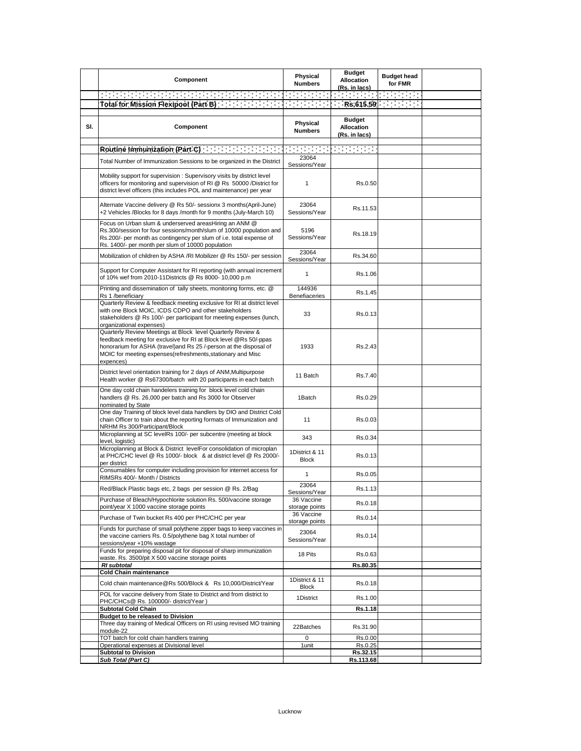|     | Component                                                                                                                                                                                                                                                                         | Physical<br><b>Numbers</b>     | <b>Budget</b><br><b>Allocation</b><br>(Rs. in lacs) | <b>Budget head</b><br>for FMR |  |
|-----|-----------------------------------------------------------------------------------------------------------------------------------------------------------------------------------------------------------------------------------------------------------------------------------|--------------------------------|-----------------------------------------------------|-------------------------------|--|
|     |                                                                                                                                                                                                                                                                                   |                                | <b>Contract Contract</b>                            | <b>Contract Contract</b>      |  |
|     | Total for Mission Flexipool (Part B) Total for Mission Plant                                                                                                                                                                                                                      | <b>Contract Contract</b>       | ÷.                                                  | Rs.615.59                     |  |
| SI. | Component                                                                                                                                                                                                                                                                         | Physical<br><b>Numbers</b>     | <b>Budget</b><br><b>Allocation</b><br>(Rs. in lacs) |                               |  |
|     | Routine Immunization (Part C) and the control of the Routine Immunization (Part C)                                                                                                                                                                                                | <b>Contract Contract</b>       | and the company                                     |                               |  |
|     | Total Number of Immunization Sessions to be organized in the District                                                                                                                                                                                                             | 23064<br>Sessions/Year         |                                                     |                               |  |
|     | Mobility support for supervision: Supervisory visits by district level<br>officers for monitoring and supervision of RI @ Rs 50000 /District for<br>district level officers (this includes POL and maintenance) per year                                                          | $\mathbf{1}$                   | Rs.0.50                                             |                               |  |
|     | Alternate Vaccine delivery @ Rs 50/- sessionx 3 months(April-June)<br>+2 Vehicles /Blocks for 8 days /month for 9 months (July-March 10)                                                                                                                                          | 23064<br>Sessions/Year         | Rs.11.53                                            |                               |  |
|     | Focus on Urban slum & underserved areasHiring an ANM @<br>Rs.300/session for four sessions/month/slum of 10000 population and<br>Rs.200/- per month as contingency per slum of i.e. total expense of<br>Rs. 1400/- per month per slum of 10000 population                         | 5196<br>Sessions/Year          | Rs.18.19                                            |                               |  |
|     | Mobilization of children by ASHA /RI Mobilizer @ Rs 150/- per session                                                                                                                                                                                                             | 23064<br>Sessions/Year         | Rs.34.60                                            |                               |  |
|     | Support for Computer Assistant for RI reporting (with annual increment<br>of 10% wef from 2010-11Districts @ Rs 8000- 10,000 p.m                                                                                                                                                  | $\mathbf{1}$                   | Rs.1.06                                             |                               |  |
|     | Printing and dissemination of tally sheets, monitoring forms, etc. @<br>Rs 1 /beneficiary                                                                                                                                                                                         | 144936<br>Benefiaceries        | Rs.1.45                                             |                               |  |
|     | Quarterly Review & feedback meeting exclusive for RI at district level<br>with one Block MOIC, ICDS CDPO and other stakeholders<br>stakeholders @ Rs 100/- per participant for meeting expenses (lunch,<br>organizational expenses)                                               | 33                             | Rs.0.13                                             |                               |  |
|     | Quarterly Review Meetings at Block level Quarterly Review &<br>feedback meeting for exclusive for RI at Block level @Rs 50/-ppas<br>honorarium for ASHA (travel)and Rs 25 /-person at the disposal of<br>MOIC for meeting expenses(refreshments, stationary and Misc<br>expences) | 1933                           | Rs.2.43                                             |                               |  |
|     | District level orientation training for 2 days of ANM, Multipurpose<br>Health worker @ Rs67300/batch with 20 participants in each batch                                                                                                                                           | 11 Batch                       | Rs.7.40                                             |                               |  |
|     | One day cold chain handelers training for block level cold chain<br>handlers @ Rs. 26,000 per batch and Rs 3000 for Observer<br>nominated by State                                                                                                                                | 1Batch                         | Rs.0.29                                             |                               |  |
|     | One day Training of block level data handlers by DIO and District Cold<br>chain Officer to train about the reporting formats of Immunization and<br>NRHM Rs 300/Participant/Block                                                                                                 | 11                             | Rs.0.03                                             |                               |  |
|     | Microplanning at SC levelRs 100/- per subcentre (meeting at block<br>level, logistic)                                                                                                                                                                                             | 343                            | Rs.0.34                                             |                               |  |
|     | Microplanning at Block & District levelFor consolidation of microplan<br>at PHC/CHC level @ Rs 1000/- block & at district level @ Rs 2000/-<br>per district                                                                                                                       | 1District & 11<br><b>Block</b> | Rs.0.13                                             |                               |  |
|     | Consumables for computer including provision for internet access for<br>RIMSRs 400/- Month / Districts                                                                                                                                                                            | 1                              | Rs.0.05                                             |                               |  |
|     | Red/Black Plastic bags etc, 2 bags per session @ Rs. 2/Bag                                                                                                                                                                                                                        | 23064<br>Sessions/Year         | Rs.1.13                                             |                               |  |
|     | Purchase of Bleach/Hypochlorite solution Rs. 500/vaccine storage<br>point/year X 1000 vaccine storage points                                                                                                                                                                      | 36 Vaccine<br>storage points   | Rs.0.18                                             |                               |  |
|     | Purchase of Twin bucket Rs 400 per PHC/CHC per year                                                                                                                                                                                                                               | 36 Vaccine<br>storage points   | Rs.0.14                                             |                               |  |
|     | Funds for purchase of small polythene zipper bags to keep vaccines in<br>the vaccine carriers Rs. 0.5/polythene bag X total number of<br>sessions/year +10% wastage                                                                                                               | 23064<br>Sessions/Year         | Rs.0.14                                             |                               |  |
|     | Funds for preparing disposal pit for disposal of sharp immunization<br>waste. Rs. 3500/pit X 500 vaccine storage points                                                                                                                                                           | 18 Pits                        | Rs.0.63                                             |                               |  |
|     | <b>RI</b> subtotal<br><b>Cold Chain maintenance</b>                                                                                                                                                                                                                               |                                | Rs.80.35                                            |                               |  |
|     | Cold chain maintenance@Rs 500/Block & Rs 10,000/District/Year                                                                                                                                                                                                                     | 1District & 11<br><b>Block</b> | Rs.0.18                                             |                               |  |
|     | POL for vaccine delivery from State to District and from district to<br>PHC/CHCs@ Rs. 100000/- district/Year )                                                                                                                                                                    | 1District                      | Rs.1.00                                             |                               |  |
|     | <b>Subtotal Cold Chain</b>                                                                                                                                                                                                                                                        |                                | Rs.1.18                                             |                               |  |
|     | Budget to be released to Division<br>Three day training of Medical Officers on RI using revised MO training                                                                                                                                                                       |                                |                                                     |                               |  |
|     | module-22                                                                                                                                                                                                                                                                         | 22Batches                      | Rs.31.90                                            |                               |  |
|     | TOT batch for cold chain handlers training<br>Operational expenses at Divisional level                                                                                                                                                                                            | 0<br>1 unit                    | Rs.0.00<br>Rs.0.25                                  |                               |  |
|     | <b>Subtotal to Division</b>                                                                                                                                                                                                                                                       |                                | Rs.32.15                                            |                               |  |
|     | Sub Total (Part C)                                                                                                                                                                                                                                                                |                                | Rs.113.68                                           |                               |  |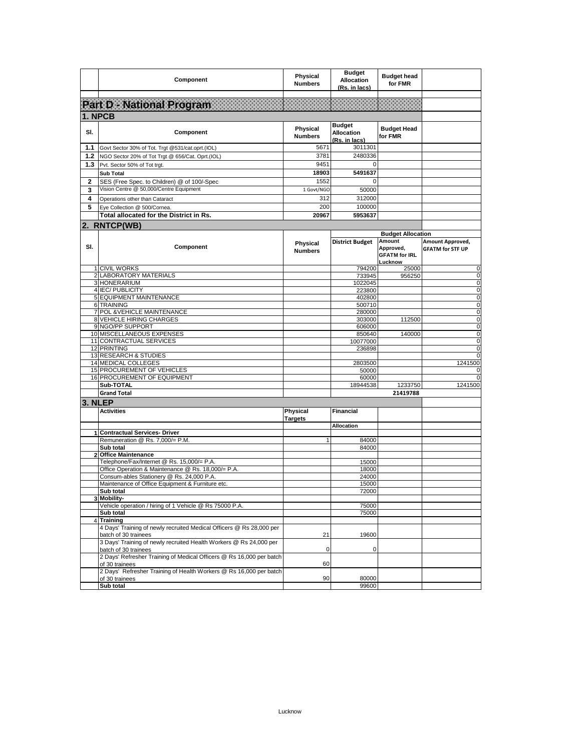|              | Component                                                                                        | Physical<br><b>Numbers</b> | <b>Budget</b><br><b>Allocation</b><br>(Rs. in lacs) | <b>Budget head</b><br>for FMR                                                      |                                             |
|--------------|--------------------------------------------------------------------------------------------------|----------------------------|-----------------------------------------------------|------------------------------------------------------------------------------------|---------------------------------------------|
|              |                                                                                                  |                            |                                                     |                                                                                    |                                             |
|              | Part D - National Program                                                                        |                            |                                                     |                                                                                    |                                             |
| 1. NPCB      |                                                                                                  |                            |                                                     |                                                                                    |                                             |
| SI.          | Component                                                                                        | Physical<br><b>Numbers</b> | <b>Budget</b><br><b>Allocation</b><br>(Rs. in lacs) | <b>Budget Head</b><br>for FMR                                                      |                                             |
| 1.1          | Govt Sector 30% of Tot. Trgt @531/cat.oprt.(IOL)                                                 | 5671                       | 3011301                                             |                                                                                    |                                             |
| 1.2          | NGO Sector 20% of Tot Trgt @ 656/Cat. Oprt.(IOL)                                                 | 3781                       | 2480336                                             |                                                                                    |                                             |
| 1.3          | Pvt. Sector 50% of Tot trgt.                                                                     | 9451                       | 0                                                   |                                                                                    |                                             |
|              | <b>Sub Total</b>                                                                                 | 18903                      | 5491637                                             |                                                                                    |                                             |
| 2            | SES (Free Spec. to Children) @ of 100/-Spec                                                      | 1552                       | 0                                                   |                                                                                    |                                             |
| 3            | Vision Centre @ 50,000/Centre Equipment                                                          | 1 Govt/NGO                 | 50000                                               |                                                                                    |                                             |
| 4            | Operations other than Cataract                                                                   | 312                        | 312000                                              |                                                                                    |                                             |
| 5            | Eye Collection @ 500/Cornea.                                                                     | 200                        | 100000                                              |                                                                                    |                                             |
|              | Total allocated for the District in Rs.                                                          | 20967                      | 5953637                                             |                                                                                    |                                             |
|              | 2. RNTCP(WB)                                                                                     |                            |                                                     |                                                                                    |                                             |
| SI.          | Component                                                                                        | Physical<br><b>Numbers</b> | <b>District Budget</b>                              | <b>Budget Allocation</b><br>Amount<br>Approved,<br><b>GFATM for IRL</b><br>Lucknow | Amount Approved,<br><b>GFATM for STF UP</b> |
|              | <b>CIVIL WORKS</b>                                                                               |                            | 794200                                              | 25000                                                                              | 0                                           |
|              | 2 LABORATORY MATERIALS<br>3 HONERARIUM                                                           |                            | 733945<br>1022045                                   | 956250                                                                             | 0<br>$\mathsf 0$                            |
|              | 4 IEC/ PUBLICITY                                                                                 |                            | 223800                                              |                                                                                    | $\mathsf 0$                                 |
|              | 5 EQUIPMENT MAINTENANCE                                                                          |                            | 402800                                              |                                                                                    | $\mathsf 0$                                 |
|              | 6 TRAINING                                                                                       |                            | 500710                                              |                                                                                    | 0                                           |
|              | 7 POL & VEHICLE MAINTENANCE                                                                      |                            | 280000                                              |                                                                                    | $\mathsf 0$<br>$\mathsf 0$                  |
|              | 8 VEHICLE HIRING CHARGES<br>9 NGO/PP SUPPORT                                                     |                            | 303000<br>606000                                    | 112500                                                                             | 0                                           |
|              | 10 MISCELLANEOUS EXPENSES                                                                        |                            | 850640                                              | 140000                                                                             | 0                                           |
|              | 11 CONTRACTUAL SERVICES                                                                          |                            | 10077000                                            |                                                                                    | $\mathsf 0$                                 |
|              | 12 PRINTING                                                                                      |                            | 236898                                              |                                                                                    | $\mathsf 0$                                 |
|              | 13 RESEARCH & STUDIES<br>14 MEDICAL COLLEGES                                                     |                            | 2803500                                             |                                                                                    | $\mathbf 0$<br>1241500                      |
|              | <b>15 PROCUREMENT OF VEHICLES</b>                                                                |                            | 50000                                               |                                                                                    | 0                                           |
|              | 16 PROCUREMENT OF EQUIPMENT                                                                      |                            | 60000                                               |                                                                                    | 0                                           |
|              | Sub-TOTAL                                                                                        |                            | 18944538                                            | 1233750                                                                            | 1241500                                     |
|              | <b>Grand Total</b>                                                                               |                            |                                                     | 21419788                                                                           |                                             |
| 3. NLEP      |                                                                                                  |                            |                                                     |                                                                                    |                                             |
|              | <b>Activities</b>                                                                                | Physical<br><b>Targets</b> | Financial                                           |                                                                                    |                                             |
|              | 1 Contractual Services- Driver                                                                   |                            | <b>Allocation</b>                                   |                                                                                    |                                             |
|              | Remuneration @ Rs. 7,000/= P.M.                                                                  | 1                          | 84000                                               |                                                                                    |                                             |
|              | Sub total                                                                                        |                            | 84000                                               |                                                                                    |                                             |
| $\mathbf{2}$ | <b>Office Maintenance</b>                                                                        |                            |                                                     |                                                                                    |                                             |
|              | Telephone/Fax/Internet @ Rs. 15,000/= P.A.<br>Office Operation & Maintenance @ Rs. 18,000/= P.A. |                            | 15000<br>18000                                      |                                                                                    |                                             |
|              | Consum-ables Stationery @ Rs. 24,000 P.A.                                                        |                            | 24000                                               |                                                                                    |                                             |
|              | Maintenance of Office Equipment & Furniture etc.                                                 |                            | 15000                                               |                                                                                    |                                             |
|              | Sub total                                                                                        |                            | 72000                                               |                                                                                    |                                             |
|              | 3 Mobility-<br>Vehicle operation / hiring of 1 Vehicle @ Rs 75000 P.A.                           |                            | 75000                                               |                                                                                    |                                             |
|              | Sub total                                                                                        |                            | 75000                                               |                                                                                    |                                             |
|              | 4 Training                                                                                       |                            |                                                     |                                                                                    |                                             |
|              | 4 Days' Training of newly recruited Medical Officers @ Rs 28,000 per<br>batch of 30 trainees     | 21                         | 19600                                               |                                                                                    |                                             |
|              | 3 Days' Training of newly recruited Health Workers @ Rs 24,000 per                               |                            |                                                     |                                                                                    |                                             |
|              | batch of 30 trainees<br>2 Days' Refresher Training of Medical Officers @ Rs 16,000 per batch     | 0                          | 0                                                   |                                                                                    |                                             |
|              | of 30 trainees<br>2 Days' Refresher Training of Health Workers @ Rs 16,000 per batch             | 60                         |                                                     |                                                                                    |                                             |
|              | of 30 trainees<br>Sub total                                                                      | 90                         | 80000<br>99600                                      |                                                                                    |                                             |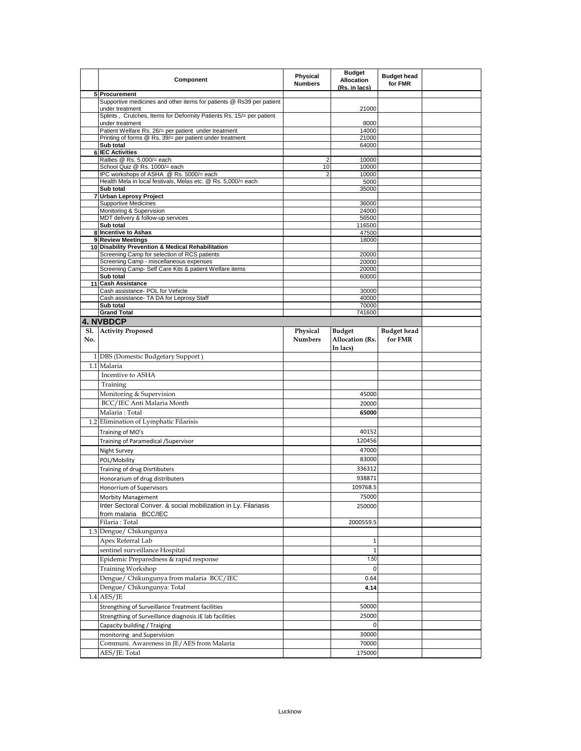|     | Component                                                                               | Physical<br><b>Numbers</b> | <b>Budget</b><br><b>Allocation</b><br>(Rs. in lacs) | <b>Budget head</b><br>for FMR |  |
|-----|-----------------------------------------------------------------------------------------|----------------------------|-----------------------------------------------------|-------------------------------|--|
|     | 5 Procurement                                                                           |                            |                                                     |                               |  |
|     | Supportive medicines and other items for patients @ Rs39 per patient<br>under treatment |                            | 21000                                               |                               |  |
|     | Splints, Crutches, Items for Deformity Patients Rs. 15/= per patient                    |                            |                                                     |                               |  |
|     | under treatment<br>Patient Welfare Rs. 26/= per patient under treatment                 |                            | 8000<br>14000                                       |                               |  |
|     | Printing of forms @ Rs. 39/= per patient under treatment                                |                            | 21000                                               |                               |  |
|     | Sub total                                                                               |                            | 64000                                               |                               |  |
| 6   | <b>IEC Activities</b>                                                                   |                            |                                                     |                               |  |
|     | Rallies @ Rs. 5,000/= each<br>School Quiz @ Rs. 1000/= each                             | $\overline{2}$<br>10       | 10000<br>10000                                      |                               |  |
|     | IPC workshops of ASHA @ Rs. 5000/= each                                                 | 2                          | 10000                                               |                               |  |
|     | Health Mela in local festivals, Melas etc. @ Rs. 5,000/= each<br>Sub total              |                            | 5000<br>35000                                       |                               |  |
|     | 7 Urban Leprosy Project                                                                 |                            |                                                     |                               |  |
|     | <b>Supportive Medicines</b>                                                             |                            | 36000                                               |                               |  |
|     | Monitoring & Supervision<br>MDT delivery & follow-up services                           |                            | 24000<br>56500                                      |                               |  |
|     | Sub total                                                                               |                            | 116500                                              |                               |  |
|     | 8 Incentive to Ashas                                                                    |                            | 47500                                               |                               |  |
|     | 9 Review Meetings                                                                       |                            | 18000                                               |                               |  |
|     | 10 Disability Prevention & Medical Rehabilitation                                       |                            |                                                     |                               |  |
|     | Screening Camp for selection of RCS patients<br>Screening Camp - miscellaneous expenses |                            | 20000<br>20000                                      |                               |  |
|     | Screening Camp- Self Care Kits & patient Welfare items                                  |                            | 20000                                               |                               |  |
|     | Sub total                                                                               |                            | 60000                                               |                               |  |
|     | 11 Cash Assistance                                                                      |                            |                                                     |                               |  |
|     | Cash assistance- POL for Vehicle<br>Cash assistance- TA DA for Leprosy Staff            |                            | 30000<br>40000                                      |                               |  |
|     | Sub total                                                                               |                            | 70000                                               |                               |  |
|     | <b>Grand Total</b>                                                                      |                            | 741600                                              |                               |  |
|     | <b>4. NVBDCP</b>                                                                        |                            |                                                     |                               |  |
| No. | Sl. Activity Proposed                                                                   | Physical<br><b>Numbers</b> | <b>Budget</b><br><b>Allocation (Rs.</b><br>In lacs) | <b>Budget</b> head<br>for FMR |  |
|     | 1 DBS (Domestic Budgetary Support)                                                      |                            |                                                     |                               |  |
|     | 1.1 Malaria                                                                             |                            |                                                     |                               |  |
|     | Incentive to ASHA                                                                       |                            |                                                     |                               |  |
|     | Training                                                                                |                            |                                                     |                               |  |
|     | Monitoring & Supervision                                                                |                            | 45000                                               |                               |  |
|     | BCC/IEC Anti Malaria Month                                                              |                            | 20000                                               |                               |  |
|     | Malaria: Total                                                                          |                            | 65000                                               |                               |  |
|     | 1.2 Elimination of Lymphatic Filarisis                                                  |                            |                                                     |                               |  |
|     | Training of MO's                                                                        |                            | 40152                                               |                               |  |
|     | Training of Paramedical / Supervisor                                                    |                            | 120456                                              |                               |  |
|     | Night Survey                                                                            |                            | 47000                                               |                               |  |
|     | POL/Mobility                                                                            |                            | 83000                                               |                               |  |
|     | Training of drug Disrtibuters                                                           |                            | 336312                                              |                               |  |
|     |                                                                                         |                            | 938871                                              |                               |  |
|     | Honorarium of drug distributers<br>Honorrium of Supervisors                             |                            | 109768.5                                            |                               |  |
|     |                                                                                         |                            | 75000                                               |                               |  |
|     | Morbity Management<br>Inter Sectoral Conver. & social mobilization in Ly. Filariasis    |                            | 250000                                              |                               |  |
|     | from malaria BCC/IEC                                                                    |                            |                                                     |                               |  |
|     | Filaria: Total                                                                          |                            | 2000559.5                                           |                               |  |
|     | 1.3 Dengue/ Chikungunya                                                                 |                            |                                                     |                               |  |
|     | Apex Referral Lab                                                                       |                            | 1                                                   |                               |  |
|     | sentinel surveillance Hospital                                                          |                            | 1                                                   |                               |  |
|     | Epidemic Preparedness & rapid response                                                  |                            | 1.50                                                |                               |  |
|     | <b>Training Workshop</b>                                                                |                            | $\mathbf 0$                                         |                               |  |
|     | Dengue/ Chikungunya from malaria BCC/IEC                                                |                            | 0.64                                                |                               |  |
|     | Dengue/ Chikungunya: Total                                                              |                            | 4.14                                                |                               |  |
|     | $1.4$ AES/JE                                                                            |                            |                                                     |                               |  |
|     | Strengthing of Surveillance Treatment facilities                                        |                            | 50000                                               |                               |  |
|     | Strengthing of Surveillance diagnosis JE lab facilities                                 |                            | 25000                                               |                               |  |
|     | Capacity building / Traiging                                                            |                            | $\mathbf 0$                                         |                               |  |
|     | monitoring and Supervision                                                              |                            | 30000                                               |                               |  |
|     | Communi. Awareness in JE/AES from Malaria                                               |                            | 70000                                               |                               |  |
|     | AES/JE: Total                                                                           |                            | 175000                                              |                               |  |
|     |                                                                                         |                            |                                                     |                               |  |